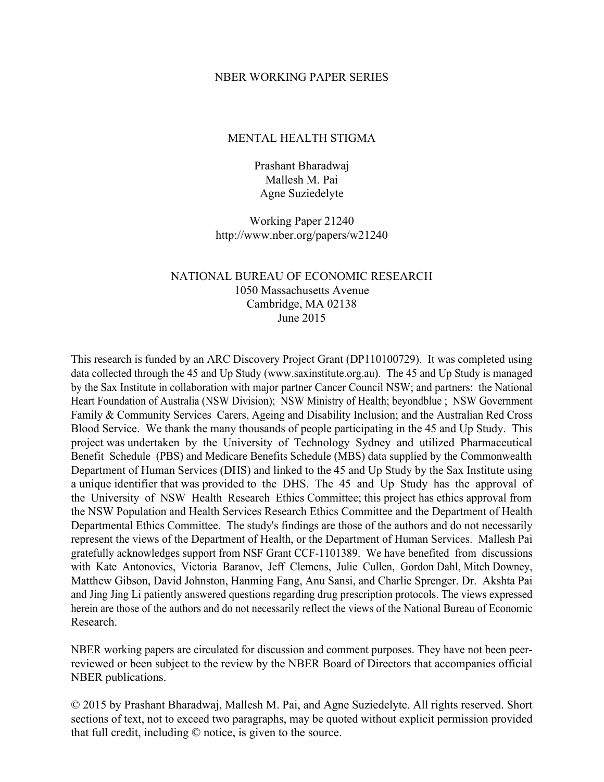## NBER WORKING PAPER SERIES

## MENTAL HEALTH STIGMA

Prashant Bharadwaj Mallesh M. Pai Agne Suziedelyte

Working Paper 21240 http://www.nber.org/papers/w21240

## NATIONAL BUREAU OF ECONOMIC RESEARCH 1050 Massachusetts Avenue Cambridge, MA 02138 June 2015

This research is funded by an ARC Discovery Project Grant (DP110100729). It was completed using data collected through the 45 and Up Study (www.saxinstitute.org.au). The 45 and Up Study is managed by the Sax Institute in collaboration with major partner Cancer Council NSW; and partners: the National Heart Foundation of Australia (NSW Division); NSW Ministry of Health; beyondblue ; NSW Government Family & Community Services Carers, Ageing and Disability Inclusion; and the Australian Red Cross Blood Service. We thank the many thousands of people participating in the 45 and Up Study. This project was undertaken by the University of Technology Sydney and utilized Pharmaceutical Benefit Schedule (PBS) and Medicare Benefits Schedule (MBS) data supplied by the Commonwealth Department of Human Services (DHS) and linked to the 45 and Up Study by the Sax Institute using a unique identifier that was provided to the DHS. The 45 and Up Study has the approval of the University of NSW Health Research Ethics Committee; this project has ethics approval from the NSW Population and Health Services Research Ethics Committee and the Department of Health Departmental Ethics Committee. The study's findings are those of the authors and do not necessarily represent the views of the Department of Health, or the Department of Human Services. Mallesh Pai gratefully acknowledges support from NSF Grant CCF-1101389. We have benefited from discussions with Kate Antonovics, Victoria Baranov, Jeff Clemens, Julie Cullen, Gordon Dahl, Mitch Downey, Matthew Gibson, David Johnston, Hanming Fang, Anu Sansi, and Charlie Sprenger. Dr. Akshta Pai and Jing Jing Li patiently answered questions regarding drug prescription protocols. The views expressed herein are those of the authors and do not necessarily reflect the views of the National Bureau of Economic Research.

NBER working papers are circulated for discussion and comment purposes. They have not been peerreviewed or been subject to the review by the NBER Board of Directors that accompanies official NBER publications.

© 2015 by Prashant Bharadwaj, Mallesh M. Pai, and Agne Suziedelyte. All rights reserved. Short sections of text, not to exceed two paragraphs, may be quoted without explicit permission provided that full credit, including © notice, is given to the source.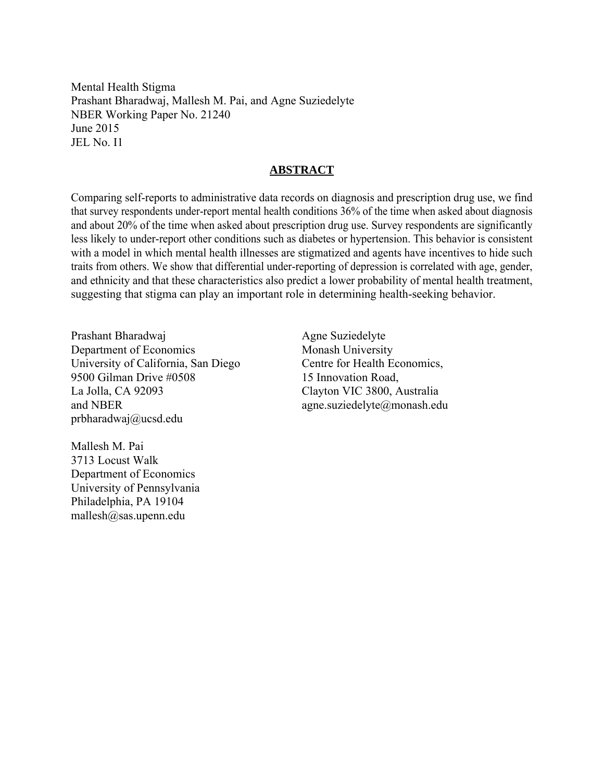Mental Health Stigma Prashant Bharadwaj, Mallesh M. Pai, and Agne Suziedelyte NBER Working Paper No. 21240 June 2015 JEL No. I1

## **ABSTRACT**

Comparing self-reports to administrative data records on diagnosis and prescription drug use, we find that survey respondents under-report mental health conditions 36% of the time when asked about diagnosis and about 20% of the time when asked about prescription drug use. Survey respondents are significantly less likely to under-report other conditions such as diabetes or hypertension. This behavior is consistent with a model in which mental health illnesses are stigmatized and agents have incentives to hide such traits from others. We show that differential under-reporting of depression is correlated with age, gender, and ethnicity and that these characteristics also predict a lower probability of mental health treatment, suggesting that stigma can play an important role in determining health-seeking behavior.

Prashant Bharadwaj Department of Economics University of California, San Diego 9500 Gilman Drive #0508 La Jolla, CA 92093 and NBER prbharadwaj@ucsd.edu

Agne Suziedelyte Monash University Centre for Health Economics, 15 Innovation Road, Clayton VIC 3800, Australia agne.suziedelyte@monash.edu

Mallesh M. Pai 3713 Locust Walk Department of Economics University of Pennsylvania Philadelphia, PA 19104 mallesh@sas.upenn.edu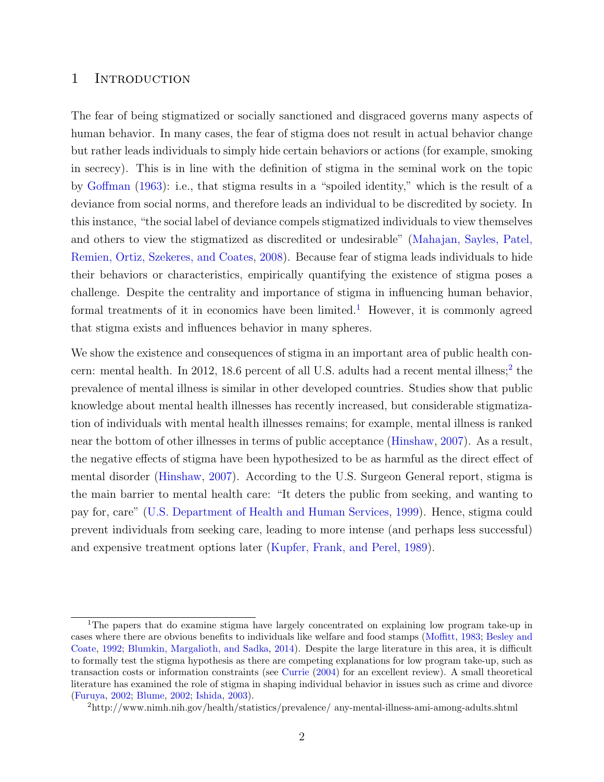## 1 INTRODUCTION

The fear of being stigmatized or socially sanctioned and disgraced governs many aspects of human behavior. In many cases, the fear of stigma does not result in actual behavior change but rather leads individuals to simply hide certain behaviors or actions (for example, smoking in secrecy). This is in line with the definition of stigma in the seminal work on the topic by [Goffman](#page-22-0) [\(1963\)](#page-22-0): i.e., that stigma results in a "spoiled identity," which is the result of a deviance from social norms, and therefore leads an individual to be discredited by society. In this instance, "the social label of deviance compels stigmatized individuals to view themselves and others to view the stigmatized as discredited or undesirable" [\(Mahajan, Sayles, Patel,](#page-23-0) [Remien, Ortiz, Szekeres, and Coates,](#page-23-0) [2008\)](#page-23-0). Because fear of stigma leads individuals to hide their behaviors or characteristics, empirically quantifying the existence of stigma poses a challenge. Despite the centrality and importance of stigma in influencing human behavior, formal treatments of it in economics have been limited.<sup>[1](#page-2-0)</sup> However, it is commonly agreed that stigma exists and influences behavior in many spheres.

We show the existence and consequences of stigma in an important area of public health con-cern: mental health. In [2](#page-2-1)012, 18.6 percent of all U.S. adults had a recent mental illness;<sup>2</sup> the prevalence of mental illness is similar in other developed countries. Studies show that public knowledge about mental health illnesses has recently increased, but considerable stigmatization of individuals with mental health illnesses remains; for example, mental illness is ranked near the bottom of other illnesses in terms of public acceptance [\(Hinshaw,](#page-22-1) [2007\)](#page-22-1). As a result, the negative effects of stigma have been hypothesized to be as harmful as the direct effect of mental disorder [\(Hinshaw,](#page-22-1) [2007\)](#page-22-1). According to the U.S. Surgeon General report, stigma is the main barrier to mental health care: "It deters the public from seeking, and wanting to pay for, care" [\(U.S. Department of Health and Human Services,](#page-24-0) [1999\)](#page-24-0). Hence, stigma could prevent individuals from seeking care, leading to more intense (and perhaps less successful) and expensive treatment options later [\(Kupfer, Frank, and Perel,](#page-23-1) [1989\)](#page-23-1).

<span id="page-2-0"></span><sup>1</sup>The papers that do examine stigma have largely concentrated on explaining low program take-up in cases where there are obvious benefits to individuals like welfare and food stamps [\(Moffitt,](#page-23-2) [1983;](#page-23-2) [Besley and](#page-21-0) [Coate,](#page-21-0) [1992;](#page-21-0) [Blumkin, Margalioth, and Sadka,](#page-21-1) [2014\)](#page-21-1). Despite the large literature in this area, it is difficult to formally test the stigma hypothesis as there are competing explanations for low program take-up, such as transaction costs or information constraints (see [Currie](#page-22-2) [\(2004\)](#page-22-2) for an excellent review). A small theoretical literature has examined the role of stigma in shaping individual behavior in issues such as crime and divorce [\(Furuya,](#page-22-3) [2002;](#page-22-3) [Blume,](#page-21-2) [2002;](#page-21-2) [Ishida,](#page-23-3) [2003\)](#page-23-3).

<span id="page-2-1"></span><sup>2</sup>http://www.nimh.nih.gov/health/statistics/prevalence/ any-mental-illness-ami-among-adults.shtml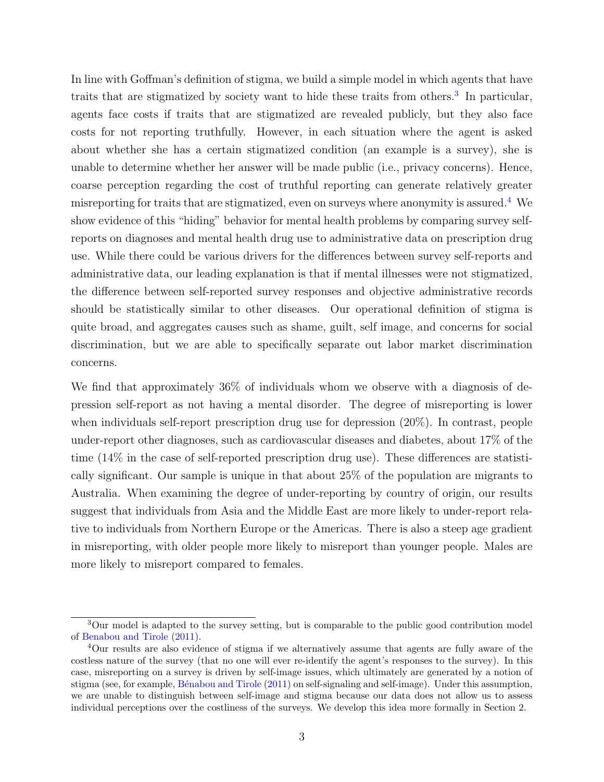In line with Goffman's definition of stigma, we build a simple model in which agents that have traits that are stigmatized by society want to hide these traits from others.<sup>[3](#page-3-0)</sup> In particular, agents face costs if traits that are stigmatized are revealed publicly, but they also face costs for not reporting truthfully. However, in each situation where the agent is asked about whether she has a certain stigmatized condition (an example is a survey), she is unable to determine whether her answer will be made public (i.e., privacy concerns). Hence, coarse perception regarding the cost of truthful reporting can generate relatively greater misreporting for traits that are stigmatized, even on surveys where anonymity is assured.[4](#page-3-1) We show evidence of this "hiding" behavior for mental health problems by comparing survey selfreports on diagnoses and mental health drug use to administrative data on prescription drug use. While there could be various drivers for the differences between survey self-reports and administrative data, our leading explanation is that if mental illnesses were not stigmatized, the difference between self-reported survey responses and objective administrative records should be statistically similar to other diseases. Our operational definition of stigma is quite broad, and aggregates causes such as shame, guilt, self image, and concerns for social discrimination, but we are able to specifically separate out labor market discrimination concerns.

We find that approximately 36% of individuals whom we observe with a diagnosis of depression self-report as not having a mental disorder. The degree of misreporting is lower when individuals self-report prescription drug use for depression (20%). In contrast, people under-report other diagnoses, such as cardiovascular diseases and diabetes, about 17% of the time (14% in the case of self-reported prescription drug use). These differences are statistically significant. Our sample is unique in that about 25% of the population are migrants to Australia. When examining the degree of under-reporting by country of origin, our results suggest that individuals from Asia and the Middle East are more likely to under-report relative to individuals from Northern Europe or the Americas. There is also a steep age gradient in misreporting, with older people more likely to misreport than younger people. Males are more likely to misreport compared to females.

<span id="page-3-0"></span><sup>&</sup>lt;sup>3</sup>Our model is adapted to the survey setting, but is comparable to the public good contribution model of [Benabou and Tirole](#page-21-3) [\(2011\)](#page-21-3).

<span id="page-3-1"></span><sup>4</sup>Our results are also evidence of stigma if we alternatively assume that agents are fully aware of the costless nature of the survey (that no one will ever re-identify the agent's responses to the survey). In this case, misreporting on a survey is driven by self-image issues, which ultimately are generated by a notion of stigma (see, for example, [B´enabou and Tirole](#page-21-4) [\(2011\)](#page-21-4) on self-signaling and self-image). Under this assumption, we are unable to distinguish between self-image and stigma because our data does not allow us to assess individual perceptions over the costliness of the surveys. We develop this idea more formally in Section 2.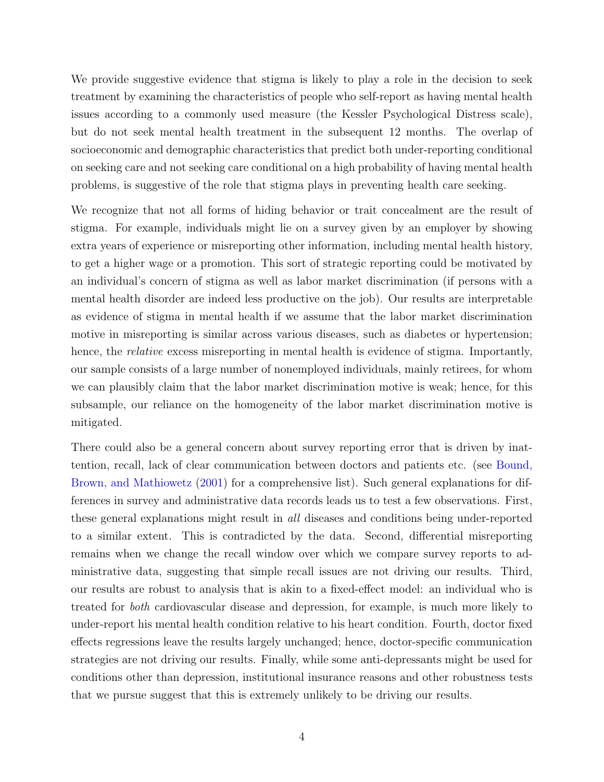We provide suggestive evidence that stigma is likely to play a role in the decision to seek treatment by examining the characteristics of people who self-report as having mental health issues according to a commonly used measure (the Kessler Psychological Distress scale), but do not seek mental health treatment in the subsequent 12 months. The overlap of socioeconomic and demographic characteristics that predict both under-reporting conditional on seeking care and not seeking care conditional on a high probability of having mental health problems, is suggestive of the role that stigma plays in preventing health care seeking.

We recognize that not all forms of hiding behavior or trait concealment are the result of stigma. For example, individuals might lie on a survey given by an employer by showing extra years of experience or misreporting other information, including mental health history, to get a higher wage or a promotion. This sort of strategic reporting could be motivated by an individual's concern of stigma as well as labor market discrimination (if persons with a mental health disorder are indeed less productive on the job). Our results are interpretable as evidence of stigma in mental health if we assume that the labor market discrimination motive in misreporting is similar across various diseases, such as diabetes or hypertension; hence, the *relative* excess misreporting in mental health is evidence of stigma. Importantly, our sample consists of a large number of nonemployed individuals, mainly retirees, for whom we can plausibly claim that the labor market discrimination motive is weak; hence, for this subsample, our reliance on the homogeneity of the labor market discrimination motive is mitigated.

There could also be a general concern about survey reporting error that is driven by inattention, recall, lack of clear communication between doctors and patients etc. (see [Bound,](#page-21-5) [Brown, and Mathiowetz](#page-21-5) [\(2001\)](#page-21-5) for a comprehensive list). Such general explanations for differences in survey and administrative data records leads us to test a few observations. First, these general explanations might result in all diseases and conditions being under-reported to a similar extent. This is contradicted by the data. Second, differential misreporting remains when we change the recall window over which we compare survey reports to administrative data, suggesting that simple recall issues are not driving our results. Third, our results are robust to analysis that is akin to a fixed-effect model: an individual who is treated for both cardiovascular disease and depression, for example, is much more likely to under-report his mental health condition relative to his heart condition. Fourth, doctor fixed effects regressions leave the results largely unchanged; hence, doctor-specific communication strategies are not driving our results. Finally, while some anti-depressants might be used for conditions other than depression, institutional insurance reasons and other robustness tests that we pursue suggest that this is extremely unlikely to be driving our results.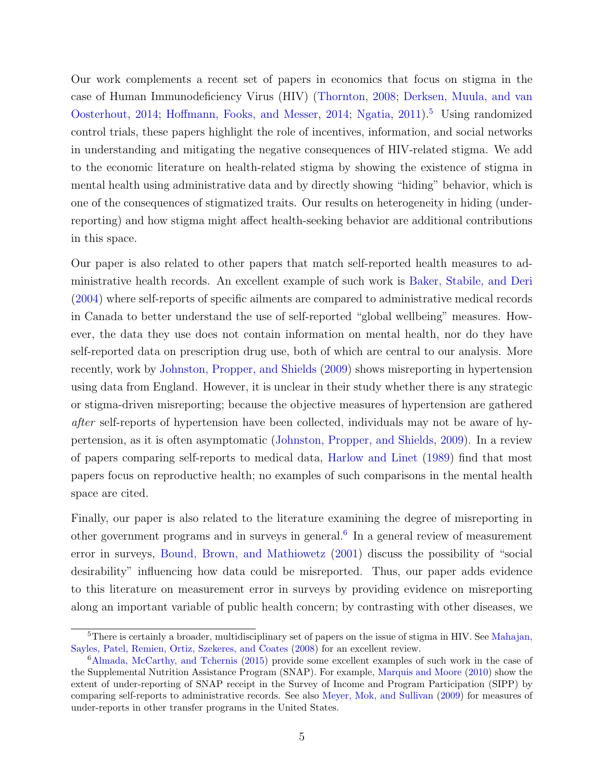Our work complements a recent set of papers in economics that focus on stigma in the case of Human Immunodeficiency Virus (HIV) [\(Thornton,](#page-24-1) [2008;](#page-24-1) [Derksen, Muula, and van](#page-22-4) [Oosterhout,](#page-22-4) [2014;](#page-22-5) [Hoffmann, Fooks, and Messer,](#page-22-5) 2014; [Ngatia,](#page-24-2) [2011\)](#page-24-2).<sup>[5](#page-5-0)</sup> Using randomized control trials, these papers highlight the role of incentives, information, and social networks in understanding and mitigating the negative consequences of HIV-related stigma. We add to the economic literature on health-related stigma by showing the existence of stigma in mental health using administrative data and by directly showing "hiding" behavior, which is one of the consequences of stigmatized traits. Our results on heterogeneity in hiding (underreporting) and how stigma might affect health-seeking behavior are additional contributions in this space.

Our paper is also related to other papers that match self-reported health measures to administrative health records. An excellent example of such work is [Baker, Stabile, and Deri](#page-21-6) [\(2004\)](#page-21-6) where self-reports of specific ailments are compared to administrative medical records in Canada to better understand the use of self-reported "global wellbeing" measures. However, the data they use does not contain information on mental health, nor do they have self-reported data on prescription drug use, both of which are central to our analysis. More recently, work by [Johnston, Propper, and Shields](#page-23-4) [\(2009\)](#page-23-4) shows misreporting in hypertension using data from England. However, it is unclear in their study whether there is any strategic or stigma-driven misreporting; because the objective measures of hypertension are gathered after self-reports of hypertension have been collected, individuals may not be aware of hypertension, as it is often asymptomatic [\(Johnston, Propper, and Shields,](#page-23-4) [2009\)](#page-23-4). In a review of papers comparing self-reports to medical data, [Harlow and Linet](#page-22-6) [\(1989\)](#page-22-6) find that most papers focus on reproductive health; no examples of such comparisons in the mental health space are cited.

Finally, our paper is also related to the literature examining the degree of misreporting in other government programs and in surveys in general.<sup>[6](#page-5-1)</sup> In a general review of measurement error in surveys, [Bound, Brown, and Mathiowetz](#page-21-5) [\(2001\)](#page-21-5) discuss the possibility of "social desirability" influencing how data could be misreported. Thus, our paper adds evidence to this literature on measurement error in surveys by providing evidence on misreporting along an important variable of public health concern; by contrasting with other diseases, we

<span id="page-5-0"></span><sup>&</sup>lt;sup>5</sup>There is certainly a broader, multidisciplinary set of papers on the issue of stigma in HIV. See [Mahajan,](#page-23-0) [Sayles, Patel, Remien, Ortiz, Szekeres, and Coates](#page-23-0) [\(2008\)](#page-23-0) for an excellent review.

<span id="page-5-1"></span><sup>6</sup>[Almada, McCarthy, and Tchernis](#page-21-7) [\(2015\)](#page-21-7) provide some excellent examples of such work in the case of the Supplemental Nutrition Assistance Program (SNAP). For example, [Marquis and Moore](#page-23-5) [\(2010\)](#page-23-5) show the extent of under-reporting of SNAP receipt in the Survey of Income and Program Participation (SIPP) by comparing self-reports to administrative records. See also [Meyer, Mok, and Sullivan](#page-23-6) [\(2009\)](#page-23-6) for measures of under-reports in other transfer programs in the United States.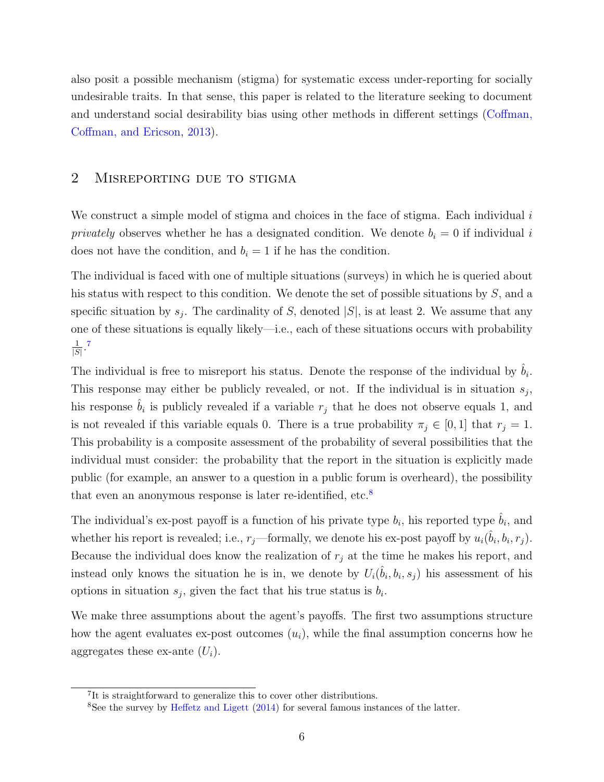also posit a possible mechanism (stigma) for systematic excess under-reporting for socially undesirable traits. In that sense, this paper is related to the literature seeking to document and understand social desirability bias using other methods in different settings [\(Coffman,](#page-22-7) [Coffman, and Ericson,](#page-22-7) [2013\)](#page-22-7).

## 2 Misreporting due to stigma

We construct a simple model of stigma and choices in the face of stigma. Each individual i *privately* observes whether he has a designated condition. We denote  $b_i = 0$  if individual i does not have the condition, and  $b_i = 1$  if he has the condition.

The individual is faced with one of multiple situations (surveys) in which he is queried about his status with respect to this condition. We denote the set of possible situations by  $S$ , and a specific situation by  $s_j$ . The cardinality of S, denoted  $|S|$ , is at least 2. We assume that any one of these situations is equally likely—i.e., each of these situations occurs with probability 1  $\frac{1}{|S|}$ .<sup>[7](#page-6-0)</sup>

The individual is free to misreport his status. Denote the response of the individual by  $\hat{b}_i$ . This response may either be publicly revealed, or not. If the individual is in situation  $s_j$ , his response  $\hat{b}_i$  is publicly revealed if a variable  $r_j$  that he does not observe equals 1, and is not revealed if this variable equals 0. There is a true probability  $\pi_j \in [0,1]$  that  $r_j = 1$ . This probability is a composite assessment of the probability of several possibilities that the individual must consider: the probability that the report in the situation is explicitly made public (for example, an answer to a question in a public forum is overheard), the possibility that even an anonymous response is later re-identified, etc.<sup>[8](#page-6-1)</sup>

The individual's ex-post payoff is a function of his private type  $b_i$ , his reported type  $\hat{b}_i$ , and whether his report is revealed; i.e.,  $r_j$ —formally, we denote his ex-post payoff by  $u_i(\hat{b}_i, b_i, r_j)$ . Because the individual does know the realization of  $r_j$  at the time he makes his report, and instead only knows the situation he is in, we denote by  $U_i(\hat{b}_i, b_i, s_j)$  his assessment of his options in situation  $s_j$ , given the fact that his true status is  $b_i$ .

We make three assumptions about the agent's payoffs. The first two assumptions structure how the agent evaluates ex-post outcomes  $(u_i)$ , while the final assumption concerns how he aggregates these ex-ante  $(U_i)$ .

<span id="page-6-0"></span><sup>7</sup> It is straightforward to generalize this to cover other distributions.

<span id="page-6-1"></span><sup>8</sup>See the survey by [Heffetz and Ligett](#page-22-8) [\(2014\)](#page-22-8) for several famous instances of the latter.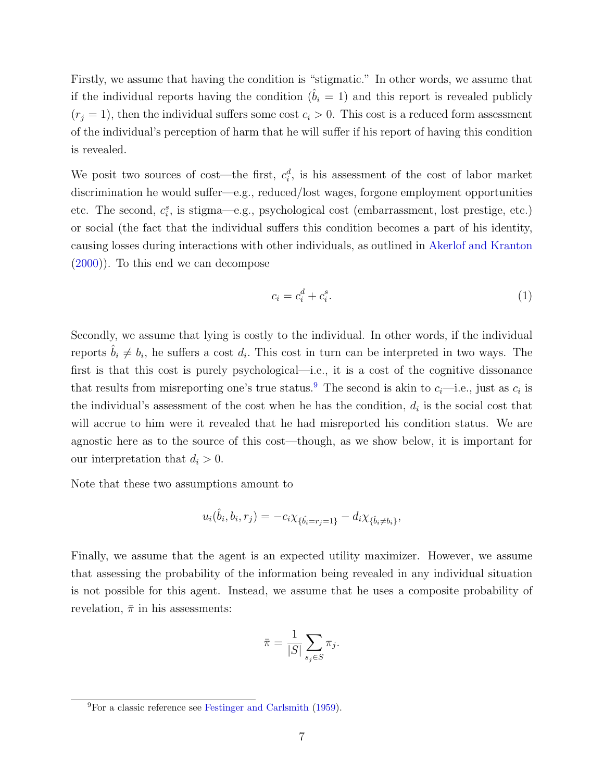Firstly, we assume that having the condition is "stigmatic." In other words, we assume that if the individual reports having the condition  $(b<sub>i</sub> = 1)$  and this report is revealed publicly  $(r_j = 1)$ , then the individual suffers some cost  $c_i > 0$ . This cost is a reduced form assessment of the individual's perception of harm that he will suffer if his report of having this condition is revealed.

We posit two sources of cost—the first,  $c_i^d$ , is his assessment of the cost of labor market discrimination he would suffer—e.g., reduced/lost wages, forgone employment opportunities etc. The second,  $c_i^s$ , is stigma—e.g., psychological cost (embarrassment, lost prestige, etc.) or social (the fact that the individual suffers this condition becomes a part of his identity, causing losses during interactions with other individuals, as outlined in [Akerlof and Kranton](#page-21-8) [\(2000\)](#page-21-8)). To this end we can decompose

<span id="page-7-1"></span>
$$
c_i = c_i^d + c_i^s. \tag{1}
$$

Secondly, we assume that lying is costly to the individual. In other words, if the individual reports  $\hat{b}_i \neq b_i$ , he suffers a cost  $d_i$ . This cost in turn can be interpreted in two ways. The first is that this cost is purely psychological—i.e., it is a cost of the cognitive dissonance that results from misreporting one's true status.<sup>[9](#page-7-0)</sup> The second is akin to  $c_i$ —i.e., just as  $c_i$  is the individual's assessment of the cost when he has the condition,  $d_i$  is the social cost that will accrue to him were it revealed that he had misreported his condition status. We are agnostic here as to the source of this cost—though, as we show below, it is important for our interpretation that  $d_i > 0$ .

Note that these two assumptions amount to

$$
u_i(\hat{b}_i, b_i, r_j) = -c_i \chi_{\{\hat{b}_i = r_j = 1\}} - d_i \chi_{\{\hat{b}_i \neq b_i\}},
$$

Finally, we assume that the agent is an expected utility maximizer. However, we assume that assessing the probability of the information being revealed in any individual situation is not possible for this agent. Instead, we assume that he uses a composite probability of revelation,  $\bar{\pi}$  in his assessments:

$$
\bar{\pi} = \frac{1}{|S|} \sum_{s_j \in S} \pi_j.
$$

<span id="page-7-0"></span><sup>9</sup>For a classic reference see [Festinger and Carlsmith](#page-22-9) [\(1959\)](#page-22-9).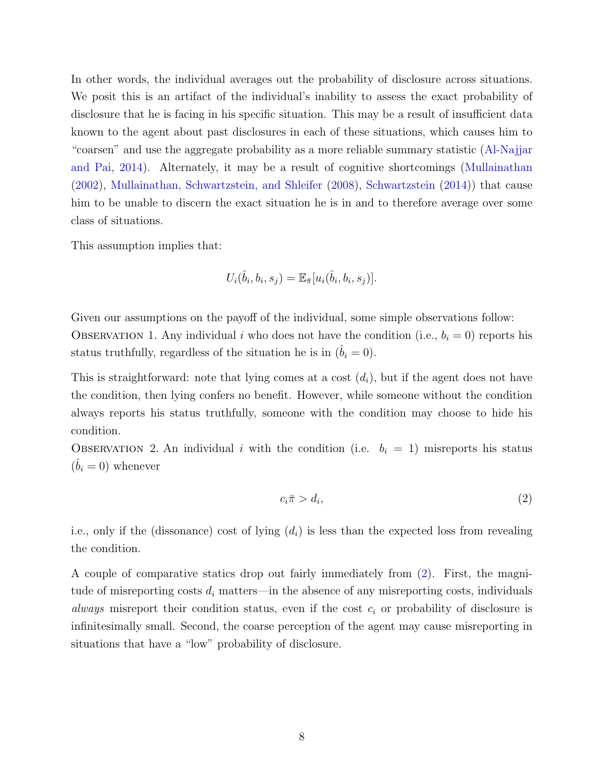In other words, the individual averages out the probability of disclosure across situations. We posit this is an artifact of the individual's inability to assess the exact probability of disclosure that he is facing in his specific situation. This may be a result of insufficient data known to the agent about past disclosures in each of these situations, which causes him to "coarsen" and use the aggregate probability as a more reliable summary statistic [\(Al-Najjar](#page-21-9) [and Pai,](#page-21-9) [2014\)](#page-21-9). Alternately, it may be a result of cognitive shortcomings [\(Mullainathan](#page-23-7) [\(2002\)](#page-23-7), [Mullainathan, Schwartzstein, and Shleifer](#page-24-3) [\(2008\)](#page-24-3), [Schwartzstein](#page-24-4) [\(2014\)](#page-24-4)) that cause him to be unable to discern the exact situation he is in and to therefore average over some class of situations.

This assumption implies that:

$$
U_i(\hat{b}_i, b_i, s_j) = \mathbb{E}_{\bar{\pi}}[u_i(\hat{b}_i, b_i, s_j)].
$$

Given our assumptions on the payoff of the individual, some simple observations follow: OBSERVATION 1. Any individual i who does not have the condition (i.e.,  $b_i = 0$ ) reports his status truthfully, regardless of the situation he is in  $(\hat{b}_i = 0)$ .

This is straightforward: note that lying comes at a cost  $(d_i)$ , but if the agent does not have the condition, then lying confers no benefit. However, while someone without the condition always reports his status truthfully, someone with the condition may choose to hide his condition.

OBSERVATION 2. An individual i with the condition (i.e.  $b_i = 1$ ) misreports his status  $(\hat{b}_i = 0)$  whenever

<span id="page-8-0"></span>
$$
c_i \bar{\pi} > d_i,\tag{2}
$$

i.e., only if the (dissonance) cost of lying  $(d_i)$  is less than the expected loss from revealing the condition.

A couple of comparative statics drop out fairly immediately from [\(2\)](#page-8-0). First, the magnitude of misreporting costs  $d_i$  matters—in the absence of any misreporting costs, individuals *always* misreport their condition status, even if the cost  $c_i$  or probability of disclosure is infinitesimally small. Second, the coarse perception of the agent may cause misreporting in situations that have a "low" probability of disclosure.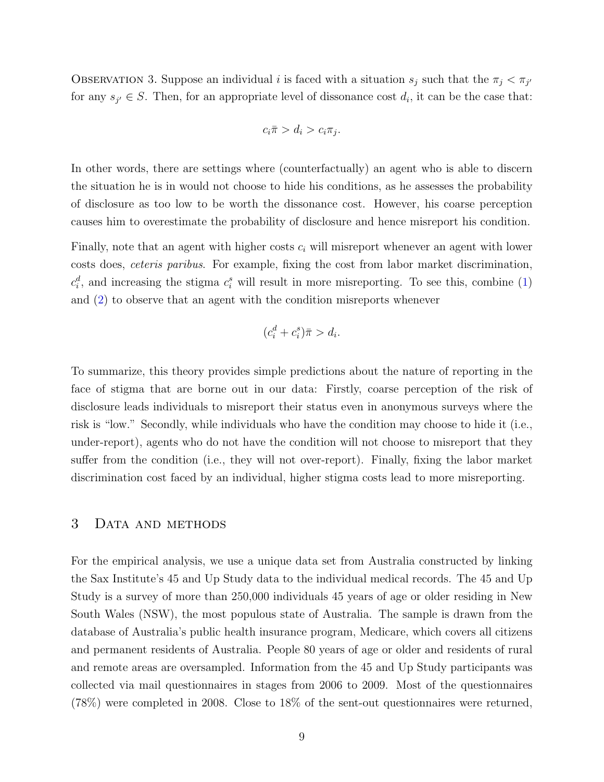OBSERVATION 3. Suppose an individual i is faced with a situation  $s_j$  such that the  $\pi_j < \pi_{j'}$ for any  $s_{j'} \in S$ . Then, for an appropriate level of dissonance cost  $d_i$ , it can be the case that:

$$
c_i\bar{\pi} > d_i > c_i\pi_j.
$$

In other words, there are settings where (counterfactually) an agent who is able to discern the situation he is in would not choose to hide his conditions, as he assesses the probability of disclosure as too low to be worth the dissonance cost. However, his coarse perception causes him to overestimate the probability of disclosure and hence misreport his condition.

Finally, note that an agent with higher costs  $c_i$  will misreport whenever an agent with lower costs does, ceteris paribus. For example, fixing the cost from labor market discrimination,  $c_i^d$ , and increasing the stigma  $c_i^s$  will result in more misreporting. To see this, combine [\(1\)](#page-7-1) and [\(2\)](#page-8-0) to observe that an agent with the condition misreports whenever

$$
(c_i^d + c_i^s)\bar{\pi} > d_i.
$$

To summarize, this theory provides simple predictions about the nature of reporting in the face of stigma that are borne out in our data: Firstly, coarse perception of the risk of disclosure leads individuals to misreport their status even in anonymous surveys where the risk is "low." Secondly, while individuals who have the condition may choose to hide it (i.e., under-report), agents who do not have the condition will not choose to misreport that they suffer from the condition (i.e., they will not over-report). Finally, fixing the labor market discrimination cost faced by an individual, higher stigma costs lead to more misreporting.

## 3 Data and methods

For the empirical analysis, we use a unique data set from Australia constructed by linking the Sax Institute's 45 and Up Study data to the individual medical records. The 45 and Up Study is a survey of more than 250,000 individuals 45 years of age or older residing in New South Wales (NSW), the most populous state of Australia. The sample is drawn from the database of Australia's public health insurance program, Medicare, which covers all citizens and permanent residents of Australia. People 80 years of age or older and residents of rural and remote areas are oversampled. Information from the 45 and Up Study participants was collected via mail questionnaires in stages from 2006 to 2009. Most of the questionnaires (78%) were completed in 2008. Close to 18% of the sent-out questionnaires were returned,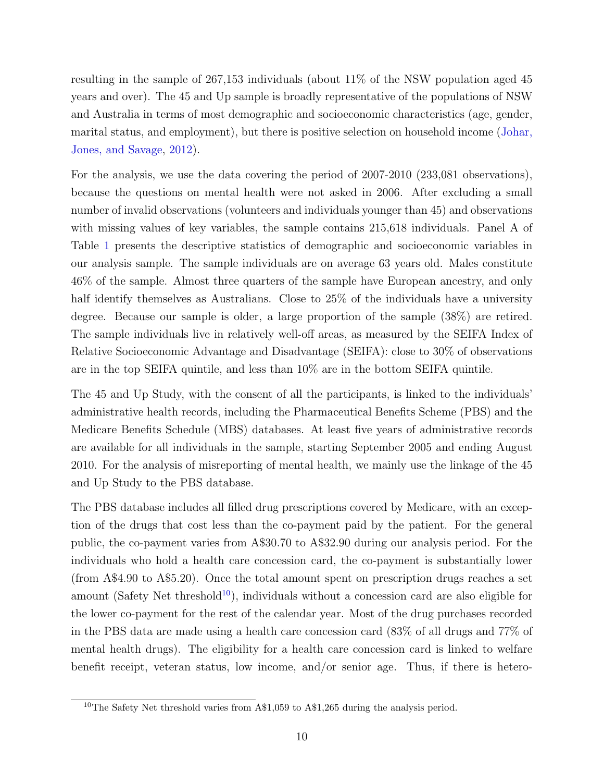resulting in the sample of 267,153 individuals (about 11% of the NSW population aged 45 years and over). The 45 and Up sample is broadly representative of the populations of NSW and Australia in terms of most demographic and socioeconomic characteristics (age, gender, marital status, and employment), but there is positive selection on household income [\(Johar,](#page-23-8) [Jones, and Savage,](#page-23-8) [2012\)](#page-23-8).

For the analysis, we use the data covering the period of 2007-2010 (233,081 observations), because the questions on mental health were not asked in 2006. After excluding a small number of invalid observations (volunteers and individuals younger than 45) and observations with missing values of key variables, the sample contains 215,618 individuals. Panel A of Table [1](#page-30-0) presents the descriptive statistics of demographic and socioeconomic variables in our analysis sample. The sample individuals are on average 63 years old. Males constitute 46% of the sample. Almost three quarters of the sample have European ancestry, and only half identify themselves as Australians. Close to 25% of the individuals have a university degree. Because our sample is older, a large proportion of the sample (38%) are retired. The sample individuals live in relatively well-off areas, as measured by the SEIFA Index of Relative Socioeconomic Advantage and Disadvantage (SEIFA): close to 30% of observations are in the top SEIFA quintile, and less than 10% are in the bottom SEIFA quintile.

The 45 and Up Study, with the consent of all the participants, is linked to the individuals' administrative health records, including the Pharmaceutical Benefits Scheme (PBS) and the Medicare Benefits Schedule (MBS) databases. At least five years of administrative records are available for all individuals in the sample, starting September 2005 and ending August 2010. For the analysis of misreporting of mental health, we mainly use the linkage of the 45 and Up Study to the PBS database.

The PBS database includes all filled drug prescriptions covered by Medicare, with an exception of the drugs that cost less than the co-payment paid by the patient. For the general public, the co-payment varies from A\$30.70 to A\$32.90 during our analysis period. For the individuals who hold a health care concession card, the co-payment is substantially lower (from A\$4.90 to A\$5.20). Once the total amount spent on prescription drugs reaches a set amount (Safety Net threshold<sup>[10](#page-10-0)</sup>), individuals without a concession card are also eligible for the lower co-payment for the rest of the calendar year. Most of the drug purchases recorded in the PBS data are made using a health care concession card (83% of all drugs and 77% of mental health drugs). The eligibility for a health care concession card is linked to welfare benefit receipt, veteran status, low income, and/or senior age. Thus, if there is hetero-

<span id="page-10-0"></span><sup>&</sup>lt;sup>10</sup>The Safety Net threshold varies from A\$1,059 to A\$1,265 during the analysis period.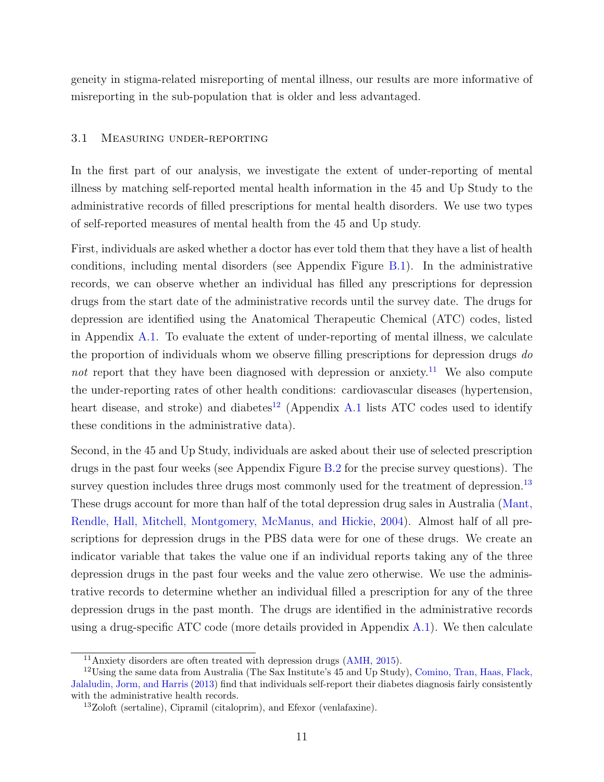geneity in stigma-related misreporting of mental illness, our results are more informative of misreporting in the sub-population that is older and less advantaged.

#### <span id="page-11-3"></span>3.1 Measuring under-reporting

In the first part of our analysis, we investigate the extent of under-reporting of mental illness by matching self-reported mental health information in the 45 and Up Study to the administrative records of filled prescriptions for mental health disorders. We use two types of self-reported measures of mental health from the 45 and Up study.

First, individuals are asked whether a doctor has ever told them that they have a list of health conditions, including mental disorders (see Appendix Figure [B.1\)](#page-25-0). In the administrative records, we can observe whether an individual has filled any prescriptions for depression drugs from the start date of the administrative records until the survey date. The drugs for depression are identified using the Anatomical Therapeutic Chemical (ATC) codes, listed in Appendix [A.1.](#page-38-0) To evaluate the extent of under-reporting of mental illness, we calculate the proportion of individuals whom we observe filling prescriptions for depression drugs do not report that they have been diagnosed with depression or anxiety.<sup>[11](#page-11-0)</sup> We also compute the under-reporting rates of other health conditions: cardiovascular diseases (hypertension, heart disease, and stroke) and diabetes<sup>[12](#page-11-1)</sup> (Appendix [A.1](#page-38-0) lists ATC codes used to identify these conditions in the administrative data).

Second, in the 45 and Up Study, individuals are asked about their use of selected prescription drugs in the past four weeks (see Appendix Figure [B.2](#page-26-0) for the precise survey questions). The survey question includes three drugs most commonly used for the treatment of depression.<sup>[13](#page-11-2)</sup> These drugs account for more than half of the total depression drug sales in Australia [\(Mant,](#page-23-9) [Rendle, Hall, Mitchell, Montgomery, McManus, and Hickie,](#page-23-9) [2004\)](#page-23-9). Almost half of all prescriptions for depression drugs in the PBS data were for one of these drugs. We create an indicator variable that takes the value one if an individual reports taking any of the three depression drugs in the past four weeks and the value zero otherwise. We use the administrative records to determine whether an individual filled a prescription for any of the three depression drugs in the past month. The drugs are identified in the administrative records using a drug-specific ATC code (more details provided in Appendix [A.1\)](#page-38-0). We then calculate

<span id="page-11-1"></span><span id="page-11-0"></span><sup>11</sup>Anxiety disorders are often treated with depression drugs [\(AMH,](#page-21-10) [2015\)](#page-21-10).

<sup>12</sup>Using the same data from Australia (The Sax Institute's 45 and Up Study), [Comino, Tran, Haas, Flack,](#page-22-10) [Jalaludin, Jorm, and Harris](#page-22-10) [\(2013\)](#page-22-10) find that individuals self-report their diabetes diagnosis fairly consistently with the administrative health records.

<span id="page-11-2"></span><sup>13</sup>Zoloft (sertaline), Cipramil (citaloprim), and Efexor (venlafaxine).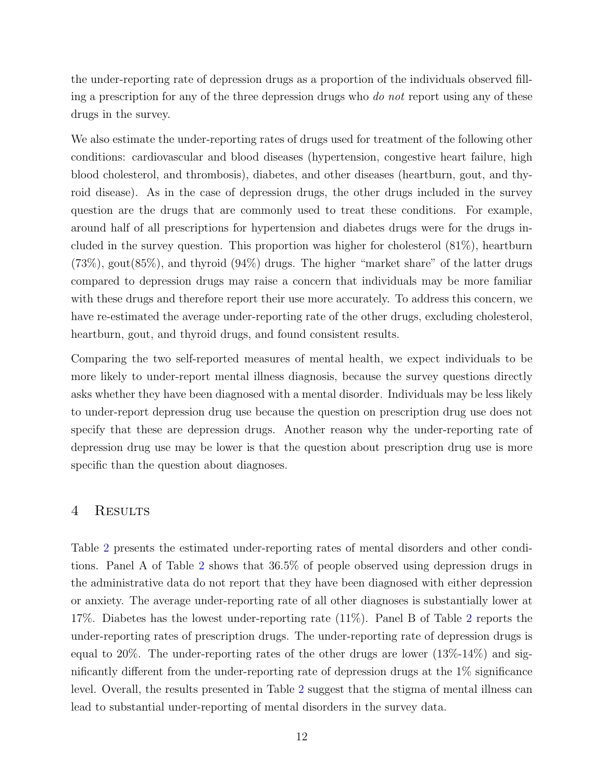the under-reporting rate of depression drugs as a proportion of the individuals observed filling a prescription for any of the three depression drugs who *do not* report using any of these drugs in the survey.

We also estimate the under-reporting rates of drugs used for treatment of the following other conditions: cardiovascular and blood diseases (hypertension, congestive heart failure, high blood cholesterol, and thrombosis), diabetes, and other diseases (heartburn, gout, and thyroid disease). As in the case of depression drugs, the other drugs included in the survey question are the drugs that are commonly used to treat these conditions. For example, around half of all prescriptions for hypertension and diabetes drugs were for the drugs included in the survey question. This proportion was higher for cholesterol (81%), heartburn (73%), gout(85%), and thyroid (94%) drugs. The higher "market share" of the latter drugs compared to depression drugs may raise a concern that individuals may be more familiar with these drugs and therefore report their use more accurately. To address this concern, we have re-estimated the average under-reporting rate of the other drugs, excluding cholesterol, heartburn, gout, and thyroid drugs, and found consistent results.

Comparing the two self-reported measures of mental health, we expect individuals to be more likely to under-report mental illness diagnosis, because the survey questions directly asks whether they have been diagnosed with a mental disorder. Individuals may be less likely to under-report depression drug use because the question on prescription drug use does not specify that these are depression drugs. Another reason why the under-reporting rate of depression drug use may be lower is that the question about prescription drug use is more specific than the question about diagnoses.

## 4 RESULTS

Table [2](#page-31-0) presents the estimated under-reporting rates of mental disorders and other conditions. Panel A of Table [2](#page-31-0) shows that 36.5% of people observed using depression drugs in the administrative data do not report that they have been diagnosed with either depression or anxiety. The average under-reporting rate of all other diagnoses is substantially lower at 17%. Diabetes has the lowest under-reporting rate (11%). Panel B of Table [2](#page-31-0) reports the under-reporting rates of prescription drugs. The under-reporting rate of depression drugs is equal to 20%. The under-reporting rates of the other drugs are lower  $(13\% - 14\%)$  and significantly different from the under-reporting rate of depression drugs at the 1% significance level. Overall, the results presented in Table [2](#page-31-0) suggest that the stigma of mental illness can lead to substantial under-reporting of mental disorders in the survey data.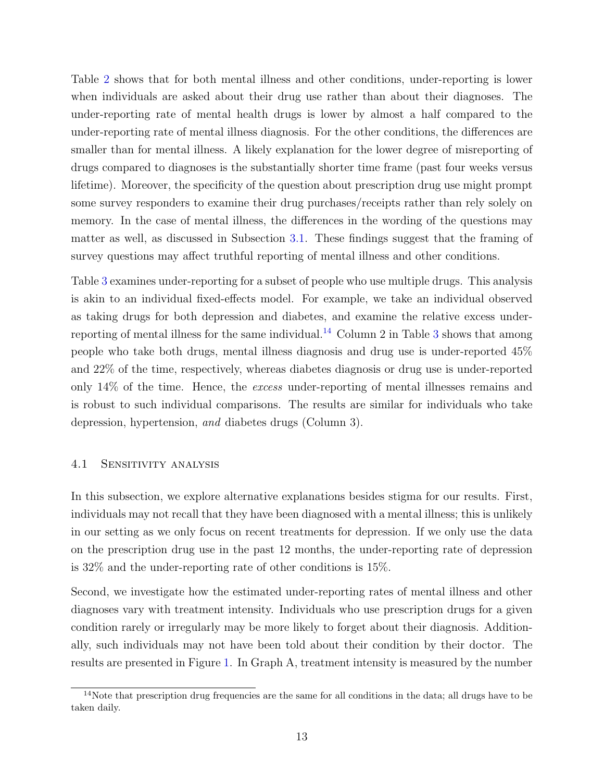Table [2](#page-31-0) shows that for both mental illness and other conditions, under-reporting is lower when individuals are asked about their drug use rather than about their diagnoses. The under-reporting rate of mental health drugs is lower by almost a half compared to the under-reporting rate of mental illness diagnosis. For the other conditions, the differences are smaller than for mental illness. A likely explanation for the lower degree of misreporting of drugs compared to diagnoses is the substantially shorter time frame (past four weeks versus lifetime). Moreover, the specificity of the question about prescription drug use might prompt some survey responders to examine their drug purchases/receipts rather than rely solely on memory. In the case of mental illness, the differences in the wording of the questions may matter as well, as discussed in Subsection [3.1.](#page-11-3) These findings suggest that the framing of survey questions may affect truthful reporting of mental illness and other conditions.

Table [3](#page-32-0) examines under-reporting for a subset of people who use multiple drugs. This analysis is akin to an individual fixed-effects model. For example, we take an individual observed as taking drugs for both depression and diabetes, and examine the relative excess under-reporting of mental illness for the same individual.<sup>[14](#page-13-0)</sup> Column 2 in Table [3](#page-32-0) shows that among people who take both drugs, mental illness diagnosis and drug use is under-reported 45% and 22% of the time, respectively, whereas diabetes diagnosis or drug use is under-reported only 14% of the time. Hence, the excess under-reporting of mental illnesses remains and is robust to such individual comparisons. The results are similar for individuals who take depression, hypertension, and diabetes drugs (Column 3).

#### 4.1 Sensitivity analysis

In this subsection, we explore alternative explanations besides stigma for our results. First, individuals may not recall that they have been diagnosed with a mental illness; this is unlikely in our setting as we only focus on recent treatments for depression. If we only use the data on the prescription drug use in the past 12 months, the under-reporting rate of depression is 32% and the under-reporting rate of other conditions is 15%.

Second, we investigate how the estimated under-reporting rates of mental illness and other diagnoses vary with treatment intensity. Individuals who use prescription drugs for a given condition rarely or irregularly may be more likely to forget about their diagnosis. Additionally, such individuals may not have been told about their condition by their doctor. The results are presented in Figure [1.](#page-25-0) In Graph A, treatment intensity is measured by the number

<span id="page-13-0"></span><sup>&</sup>lt;sup>14</sup>Note that prescription drug frequencies are the same for all conditions in the data; all drugs have to be taken daily.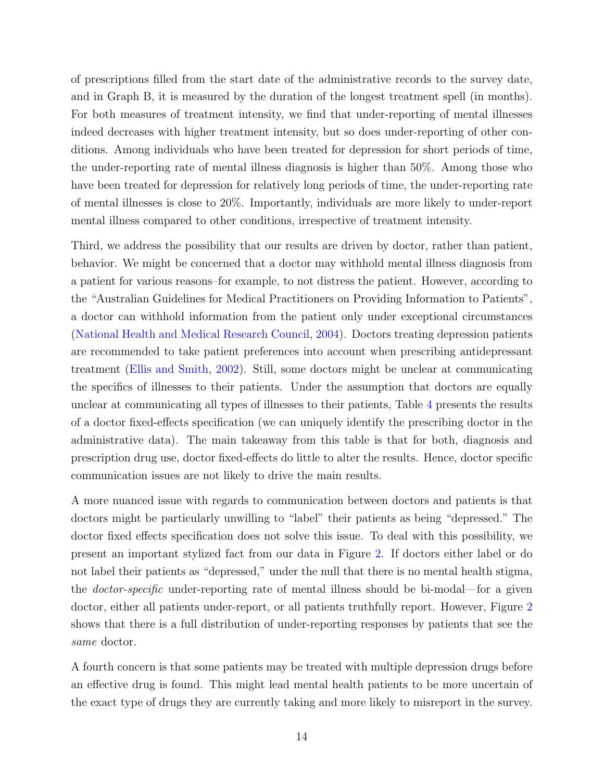of prescriptions filled from the start date of the administrative records to the survey date, and in Graph B, it is measured by the duration of the longest treatment spell (in months). For both measures of treatment intensity, we find that under-reporting of mental illnesses indeed decreases with higher treatment intensity, but so does under-reporting of other conditions. Among individuals who have been treated for depression for short periods of time, the under-reporting rate of mental illness diagnosis is higher than 50%. Among those who have been treated for depression for relatively long periods of time, the under-reporting rate of mental illnesses is close to 20%. Importantly, individuals are more likely to under-report mental illness compared to other conditions, irrespective of treatment intensity.

Third, we address the possibility that our results are driven by doctor, rather than patient, behavior. We might be concerned that a doctor may withhold mental illness diagnosis from a patient for various reasons–for example, to not distress the patient. However, according to the "Australian Guidelines for Medical Practitioners on Providing Information to Patients", a doctor can withhold information from the patient only under exceptional circumstances [\(National Health and Medical Research Council,](#page-24-5) [2004\)](#page-24-5). Doctors treating depression patients are recommended to take patient preferences into account when prescribing antidepressant treatment [\(Ellis and Smith,](#page-22-11) [2002\)](#page-22-11). Still, some doctors might be unclear at communicating the specifics of illnesses to their patients. Under the assumption that doctors are equally unclear at communicating all types of illnesses to their patients, Table [4](#page-33-0) presents the results of a doctor fixed-effects specification (we can uniquely identify the prescribing doctor in the administrative data). The main takeaway from this table is that for both, diagnosis and prescription drug use, doctor fixed-effects do little to alter the results. Hence, doctor specific communication issues are not likely to drive the main results.

A more nuanced issue with regards to communication between doctors and patients is that doctors might be particularly unwilling to "label" their patients as being "depressed." The doctor fixed effects specification does not solve this issue. To deal with this possibility, we present an important stylized fact from our data in Figure [2.](#page-26-0) If doctors either label or do not label their patients as "depressed," under the null that there is no mental health stigma, the doctor-specific under-reporting rate of mental illness should be bi-modal—for a given doctor, either all patients under-report, or all patients truthfully report. However, Figure [2](#page-26-0) shows that there is a full distribution of under-reporting responses by patients that see the same doctor.

A fourth concern is that some patients may be treated with multiple depression drugs before an effective drug is found. This might lead mental health patients to be more uncertain of the exact type of drugs they are currently taking and more likely to misreport in the survey.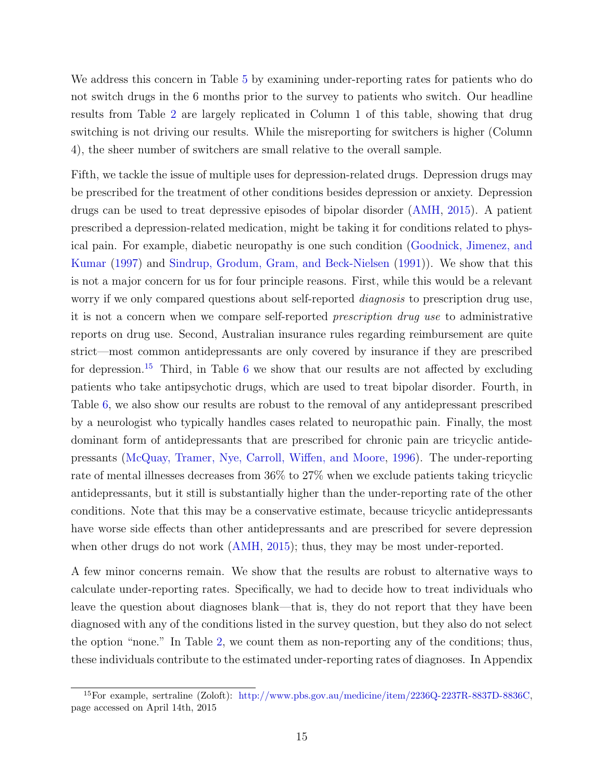We address this concern in Table [5](#page-34-0) by examining under-reporting rates for patients who do not switch drugs in the 6 months prior to the survey to patients who switch. Our headline results from Table [2](#page-31-0) are largely replicated in Column 1 of this table, showing that drug switching is not driving our results. While the misreporting for switchers is higher (Column 4), the sheer number of switchers are small relative to the overall sample.

Fifth, we tackle the issue of multiple uses for depression-related drugs. Depression drugs may be prescribed for the treatment of other conditions besides depression or anxiety. Depression drugs can be used to treat depressive episodes of bipolar disorder [\(AMH,](#page-21-10) [2015\)](#page-21-10). A patient prescribed a depression-related medication, might be taking it for conditions related to physical pain. For example, diabetic neuropathy is one such condition [\(Goodnick, Jimenez, and](#page-22-12) [Kumar](#page-22-12) [\(1997\)](#page-22-12) and [Sindrup, Grodum, Gram, and Beck-Nielsen](#page-24-6) [\(1991\)](#page-24-6)). We show that this is not a major concern for us for four principle reasons. First, while this would be a relevant worry if we only compared questions about self-reported *diagnosis* to prescription drug use, it is not a concern when we compare self-reported prescription drug use to administrative reports on drug use. Second, Australian insurance rules regarding reimbursement are quite strict—most common antidepressants are only covered by insurance if they are prescribed for depression.<sup>[15](#page-15-0)</sup> Third, in Table [6](#page-35-0) we show that our results are not affected by excluding patients who take antipsychotic drugs, which are used to treat bipolar disorder. Fourth, in Table [6,](#page-35-0) we also show our results are robust to the removal of any antidepressant prescribed by a neurologist who typically handles cases related to neuropathic pain. Finally, the most dominant form of antidepressants that are prescribed for chronic pain are tricyclic antidepressants [\(McQuay, Tramer, Nye, Carroll, Wiffen, and Moore,](#page-23-10) [1996\)](#page-23-10). The under-reporting rate of mental illnesses decreases from 36% to 27% when we exclude patients taking tricyclic antidepressants, but it still is substantially higher than the under-reporting rate of the other conditions. Note that this may be a conservative estimate, because tricyclic antidepressants have worse side effects than other antidepressants and are prescribed for severe depression when other drugs do not work [\(AMH,](#page-21-10) [2015\)](#page-21-10); thus, they may be most under-reported.

A few minor concerns remain. We show that the results are robust to alternative ways to calculate under-reporting rates. Specifically, we had to decide how to treat individuals who leave the question about diagnoses blank—that is, they do not report that they have been diagnosed with any of the conditions listed in the survey question, but they also do not select the option "none." In Table [2,](#page-31-0) we count them as non-reporting any of the conditions; thus, these individuals contribute to the estimated under-reporting rates of diagnoses. In Appendix

<span id="page-15-0"></span><sup>15</sup>For example, sertraline (Zoloft): [http://www.pbs.gov.au/medicine/item/2236Q-2237R-8837D-8836C,](http://www.pbs.gov.au/medicine/item/2236Q-2237R-8837D-8836C) page accessed on April 14th, 2015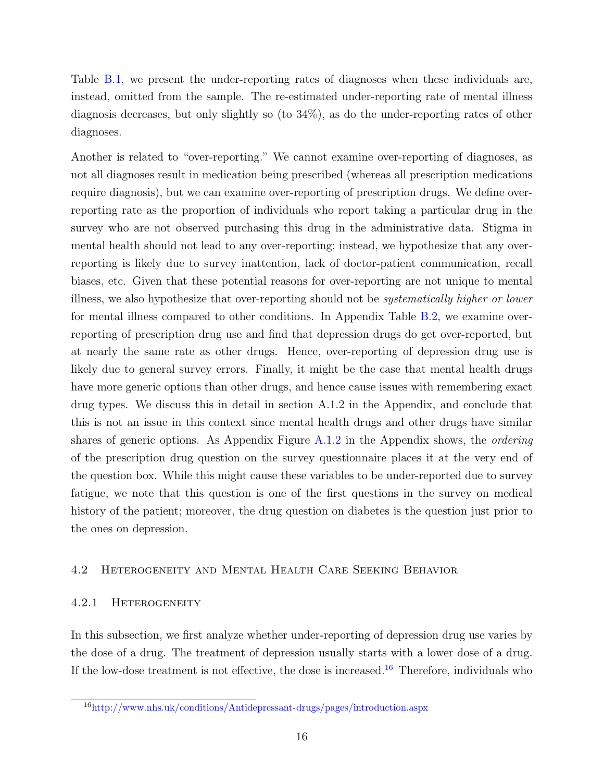Table [B.1,](#page-30-0) we present the under-reporting rates of diagnoses when these individuals are, instead, omitted from the sample. The re-estimated under-reporting rate of mental illness diagnosis decreases, but only slightly so (to 34%), as do the under-reporting rates of other diagnoses.

Another is related to "over-reporting." We cannot examine over-reporting of diagnoses, as not all diagnoses result in medication being prescribed (whereas all prescription medications require diagnosis), but we can examine over-reporting of prescription drugs. We define overreporting rate as the proportion of individuals who report taking a particular drug in the survey who are not observed purchasing this drug in the administrative data. Stigma in mental health should not lead to any over-reporting; instead, we hypothesize that any overreporting is likely due to survey inattention, lack of doctor-patient communication, recall biases, etc. Given that these potential reasons for over-reporting are not unique to mental illness, we also hypothesize that over-reporting should not be systematically higher or lower for mental illness compared to other conditions. In Appendix Table [B.2,](#page-31-0) we examine overreporting of prescription drug use and find that depression drugs do get over-reported, but at nearly the same rate as other drugs. Hence, over-reporting of depression drug use is likely due to general survey errors. Finally, it might be the case that mental health drugs have more generic options than other drugs, and hence cause issues with remembering exact drug types. We discuss this in detail in section A.1.2 in the Appendix, and conclude that this is not an issue in this context since mental health drugs and other drugs have similar shares of generic options. As Appendix Figure [A.1.2](#page-38-1) in the Appendix shows, the *ordering* of the prescription drug question on the survey questionnaire places it at the very end of the question box. While this might cause these variables to be under-reported due to survey fatigue, we note that this question is one of the first questions in the survey on medical history of the patient; moreover, the drug question on diabetes is the question just prior to the ones on depression.

## 4.2 Heterogeneity and Mental Health Care Seeking Behavior

## 4.2.1 Heterogeneity

In this subsection, we first analyze whether under-reporting of depression drug use varies by the dose of a drug. The treatment of depression usually starts with a lower dose of a drug. If the low-dose treatment is not effective, the dose is increased.<sup>[16](#page-16-0)</sup> Therefore, individuals who

<span id="page-16-0"></span><sup>16</sup><http://www.nhs.uk/conditions/Antidepressant-drugs/pages/introduction.aspx>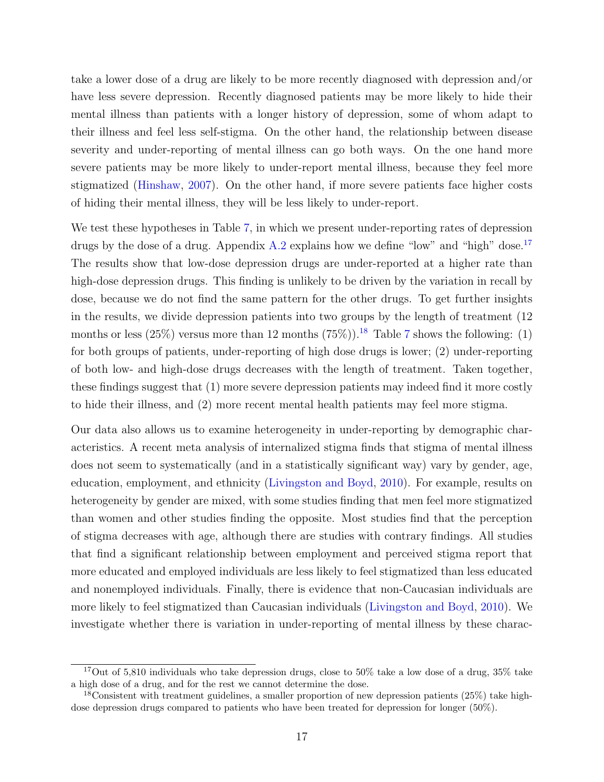take a lower dose of a drug are likely to be more recently diagnosed with depression and/or have less severe depression. Recently diagnosed patients may be more likely to hide their mental illness than patients with a longer history of depression, some of whom adapt to their illness and feel less self-stigma. On the other hand, the relationship between disease severity and under-reporting of mental illness can go both ways. On the one hand more severe patients may be more likely to under-report mental illness, because they feel more stigmatized [\(Hinshaw,](#page-22-1) [2007\)](#page-22-1). On the other hand, if more severe patients face higher costs of hiding their mental illness, they will be less likely to under-report.

We test these hypotheses in Table [7,](#page-35-1) in which we present under-reporting rates of depression drugs by the dose of a drug. Appendix  $A.2$  explains how we define "low" and "high" dose.<sup>[17](#page-17-0)</sup> The results show that low-dose depression drugs are under-reported at a higher rate than high-dose depression drugs. This finding is unlikely to be driven by the variation in recall by dose, because we do not find the same pattern for the other drugs. To get further insights in the results, we divide depression patients into two groups by the length of treatment (12 months or less (25%) versus more than 12 months (75%)).<sup>[18](#page-17-1)</sup> Table [7](#page-35-1) shows the following: (1) for both groups of patients, under-reporting of high dose drugs is lower; (2) under-reporting of both low- and high-dose drugs decreases with the length of treatment. Taken together, these findings suggest that (1) more severe depression patients may indeed find it more costly to hide their illness, and (2) more recent mental health patients may feel more stigma.

Our data also allows us to examine heterogeneity in under-reporting by demographic characteristics. A recent meta analysis of internalized stigma finds that stigma of mental illness does not seem to systematically (and in a statistically significant way) vary by gender, age, education, employment, and ethnicity [\(Livingston and Boyd,](#page-23-11) [2010\)](#page-23-11). For example, results on heterogeneity by gender are mixed, with some studies finding that men feel more stigmatized than women and other studies finding the opposite. Most studies find that the perception of stigma decreases with age, although there are studies with contrary findings. All studies that find a significant relationship between employment and perceived stigma report that more educated and employed individuals are less likely to feel stigmatized than less educated and nonemployed individuals. Finally, there is evidence that non-Caucasian individuals are more likely to feel stigmatized than Caucasian individuals [\(Livingston and Boyd,](#page-23-11) [2010\)](#page-23-11). We investigate whether there is variation in under-reporting of mental illness by these charac-

<span id="page-17-0"></span><sup>&</sup>lt;sup>17</sup>Out of 5,810 individuals who take depression drugs, close to 50% take a low dose of a drug,  $35\%$  take a high dose of a drug, and for the rest we cannot determine the dose.

<span id="page-17-1"></span><sup>&</sup>lt;sup>18</sup>Consistent with treatment guidelines, a smaller proportion of new depression patients (25%) take highdose depression drugs compared to patients who have been treated for depression for longer (50%).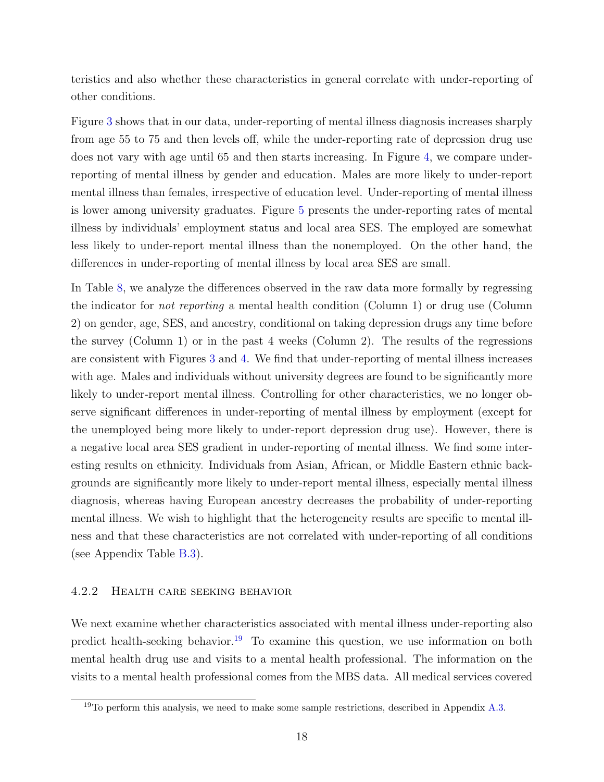teristics and also whether these characteristics in general correlate with under-reporting of other conditions.

Figure [3](#page-27-0) shows that in our data, under-reporting of mental illness diagnosis increases sharply from age 55 to 75 and then levels off, while the under-reporting rate of depression drug use does not vary with age until 65 and then starts increasing. In Figure [4,](#page-28-0) we compare underreporting of mental illness by gender and education. Males are more likely to under-report mental illness than females, irrespective of education level. Under-reporting of mental illness is lower among university graduates. Figure [5](#page-29-0) presents the under-reporting rates of mental illness by individuals' employment status and local area SES. The employed are somewhat less likely to under-report mental illness than the nonemployed. On the other hand, the differences in under-reporting of mental illness by local area SES are small.

In Table [8,](#page-36-0) we analyze the differences observed in the raw data more formally by regressing the indicator for not reporting a mental health condition (Column 1) or drug use (Column 2) on gender, age, SES, and ancestry, conditional on taking depression drugs any time before the survey (Column 1) or in the past 4 weeks (Column 2). The results of the regressions are consistent with Figures [3](#page-27-0) and [4.](#page-28-0) We find that under-reporting of mental illness increases with age. Males and individuals without university degrees are found to be significantly more likely to under-report mental illness. Controlling for other characteristics, we no longer observe significant differences in under-reporting of mental illness by employment (except for the unemployed being more likely to under-report depression drug use). However, there is a negative local area SES gradient in under-reporting of mental illness. We find some interesting results on ethnicity. Individuals from Asian, African, or Middle Eastern ethnic backgrounds are significantly more likely to under-report mental illness, especially mental illness diagnosis, whereas having European ancestry decreases the probability of under-reporting mental illness. We wish to highlight that the heterogeneity results are specific to mental illness and that these characteristics are not correlated with under-reporting of all conditions (see Appendix Table [B.3\)](#page-32-0).

#### <span id="page-18-1"></span>4.2.2 Health care seeking behavior

We next examine whether characteristics associated with mental illness under-reporting also predict health-seeking behavior.<sup>[19](#page-18-0)</sup> To examine this question, we use information on both mental health drug use and visits to a mental health professional. The information on the visits to a mental health professional comes from the MBS data. All medical services covered

<span id="page-18-0"></span> $19$ To perform this analysis, we need to make some sample restrictions, described in Appendix [A.3.](#page-40-0)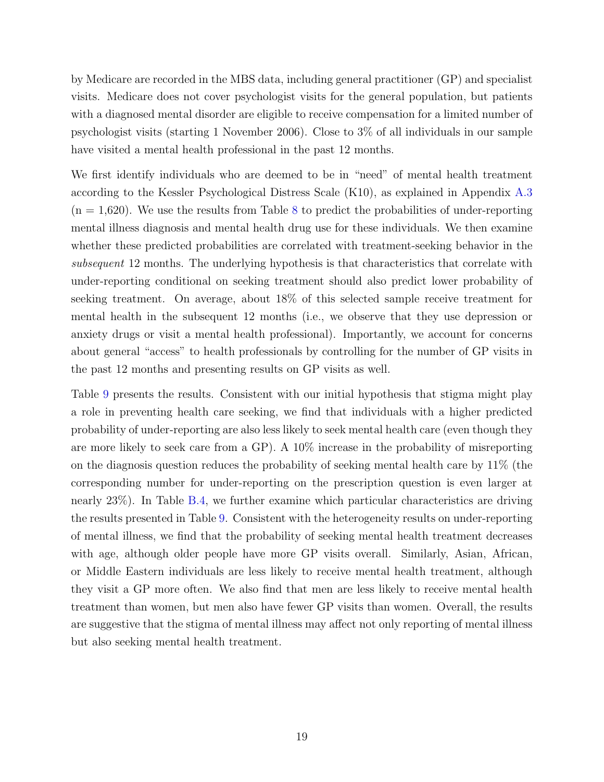by Medicare are recorded in the MBS data, including general practitioner (GP) and specialist visits. Medicare does not cover psychologist visits for the general population, but patients with a diagnosed mental disorder are eligible to receive compensation for a limited number of psychologist visits (starting 1 November 2006). Close to 3% of all individuals in our sample have visited a mental health professional in the past 12 months.

We first identify individuals who are deemed to be in "need" of mental health treatment according to the Kessler Psychological Distress Scale (K10), as explained in Appendix [A.3](#page-40-0)  $(n = 1,620)$ . We use the results from Table [8](#page-36-0) to predict the probabilities of under-reporting mental illness diagnosis and mental health drug use for these individuals. We then examine whether these predicted probabilities are correlated with treatment-seeking behavior in the subsequent 12 months. The underlying hypothesis is that characteristics that correlate with under-reporting conditional on seeking treatment should also predict lower probability of seeking treatment. On average, about 18% of this selected sample receive treatment for mental health in the subsequent 12 months (i.e., we observe that they use depression or anxiety drugs or visit a mental health professional). Importantly, we account for concerns about general "access" to health professionals by controlling for the number of GP visits in the past 12 months and presenting results on GP visits as well.

Table [9](#page-37-0) presents the results. Consistent with our initial hypothesis that stigma might play a role in preventing health care seeking, we find that individuals with a higher predicted probability of under-reporting are also less likely to seek mental health care (even though they are more likely to seek care from a GP). A 10% increase in the probability of misreporting on the diagnosis question reduces the probability of seeking mental health care by 11% (the corresponding number for under-reporting on the prescription question is even larger at nearly 23%). In Table [B.4,](#page-33-0) we further examine which particular characteristics are driving the results presented in Table [9.](#page-37-0) Consistent with the heterogeneity results on under-reporting of mental illness, we find that the probability of seeking mental health treatment decreases with age, although older people have more GP visits overall. Similarly, Asian, African, or Middle Eastern individuals are less likely to receive mental health treatment, although they visit a GP more often. We also find that men are less likely to receive mental health treatment than women, but men also have fewer GP visits than women. Overall, the results are suggestive that the stigma of mental illness may affect not only reporting of mental illness but also seeking mental health treatment.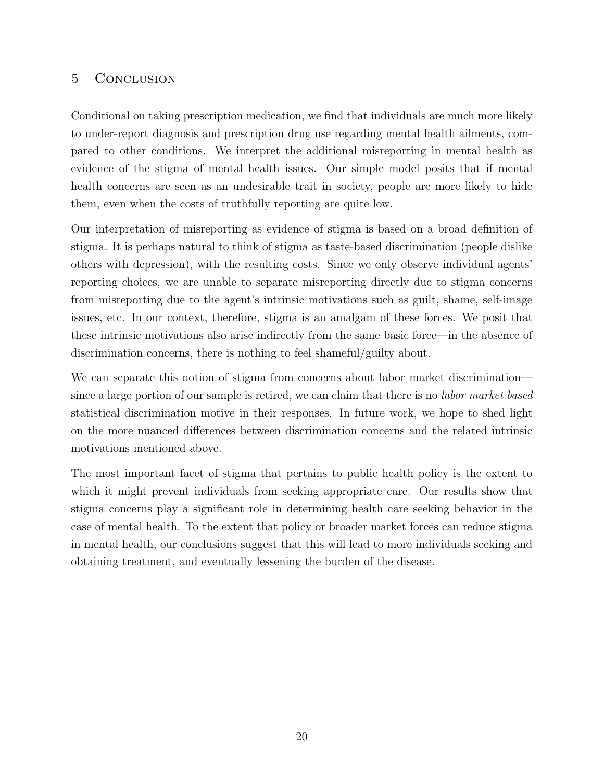## 5 Conclusion

Conditional on taking prescription medication, we find that individuals are much more likely to under-report diagnosis and prescription drug use regarding mental health ailments, compared to other conditions. We interpret the additional misreporting in mental health as evidence of the stigma of mental health issues. Our simple model posits that if mental health concerns are seen as an undesirable trait in society, people are more likely to hide them, even when the costs of truthfully reporting are quite low.

Our interpretation of misreporting as evidence of stigma is based on a broad definition of stigma. It is perhaps natural to think of stigma as taste-based discrimination (people dislike others with depression), with the resulting costs. Since we only observe individual agents' reporting choices, we are unable to separate misreporting directly due to stigma concerns from misreporting due to the agent's intrinsic motivations such as guilt, shame, self-image issues, etc. In our context, therefore, stigma is an amalgam of these forces. We posit that these intrinsic motivations also arise indirectly from the same basic force—in the absence of discrimination concerns, there is nothing to feel shameful/guilty about.

We can separate this notion of stigma from concerns about labor market discrimination since a large portion of our sample is retired, we can claim that there is no *labor market based* statistical discrimination motive in their responses. In future work, we hope to shed light on the more nuanced differences between discrimination concerns and the related intrinsic motivations mentioned above.

The most important facet of stigma that pertains to public health policy is the extent to which it might prevent individuals from seeking appropriate care. Our results show that stigma concerns play a significant role in determining health care seeking behavior in the case of mental health. To the extent that policy or broader market forces can reduce stigma in mental health, our conclusions suggest that this will lead to more individuals seeking and obtaining treatment, and eventually lessening the burden of the disease.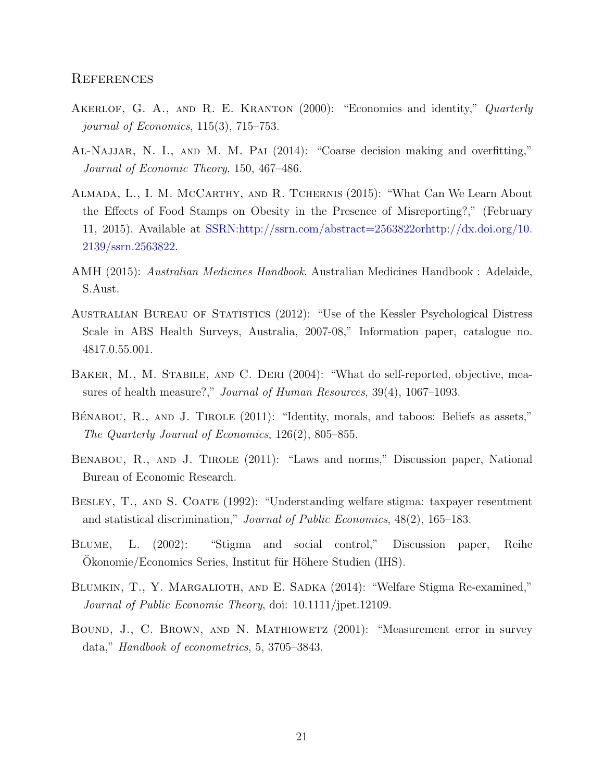#### **REFERENCES**

- <span id="page-21-8"></span>AKERLOF, G. A., AND R. E. KRANTON (2000): "Economics and identity," Quarterly journal of Economics, 115(3), 715–753.
- <span id="page-21-9"></span>Al-Najjar, N. I., and M. M. Pai (2014): "Coarse decision making and overfitting," Journal of Economic Theory, 150, 467–486.
- <span id="page-21-7"></span>Almada, L., I. M. McCarthy, and R. Tchernis (2015): "What Can We Learn About the Effects of Food Stamps on Obesity in the Presence of Misreporting?," (February 11, 2015). Available at [SSRN:http://ssrn.com/abstract=2563822orhttp://dx.doi.org/10.](SSRN: http://ssrn.com/abstract=2563822 or http://dx.doi.org/10.2139/ssrn.2563822) [2139/ssrn.2563822.](SSRN: http://ssrn.com/abstract=2563822 or http://dx.doi.org/10.2139/ssrn.2563822)
- <span id="page-21-10"></span>AMH (2015): Australian Medicines Handbook. Australian Medicines Handbook : Adelaide, S.Aust.
- <span id="page-21-11"></span>AUSTRALIAN BUREAU OF STATISTICS (2012): "Use of the Kessler Psychological Distress Scale in ABS Health Surveys, Australia, 2007-08," Information paper, catalogue no. 4817.0.55.001.
- <span id="page-21-6"></span>BAKER, M., M. STABILE, AND C. DERI (2004): "What do self-reported, objective, measures of health measure?," Journal of Human Resources, 39(4), 1067–1093.
- <span id="page-21-4"></span>BÉNABOU, R., AND J. TIROLE (2011): "Identity, morals, and taboos: Beliefs as assets," The Quarterly Journal of Economics, 126(2), 805–855.
- <span id="page-21-3"></span>Benabou, R., and J. Tirole (2011): "Laws and norms," Discussion paper, National Bureau of Economic Research.
- <span id="page-21-0"></span>BESLEY, T., AND S. COATE (1992): "Understanding welfare stigma: taxpayer resentment and statistical discrimination," Journal of Public Economics, 48(2), 165–183.
- <span id="page-21-2"></span>Blume, L. (2002): "Stigma and social control," Discussion paper, Reihe Okonomie/Economics Series, Institut für Höhere Studien (IHS).
- <span id="page-21-1"></span>BLUMKIN, T., Y. MARGALIOTH, AND E. SADKA (2014): "Welfare Stigma Re-examined," Journal of Public Economic Theory, doi: 10.1111/jpet.12109.
- <span id="page-21-5"></span>Bound, J., C. Brown, and N. Mathiowetz (2001): "Measurement error in survey data," Handbook of econometrics, 5, 3705–3843.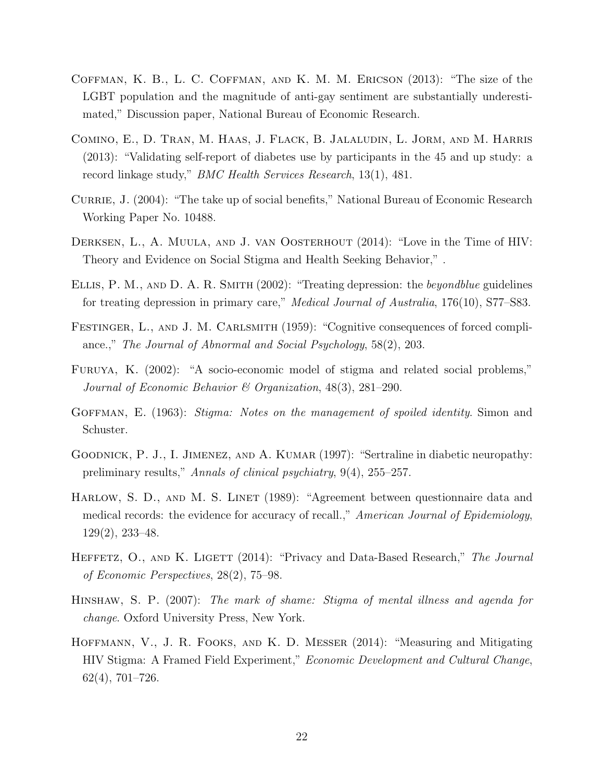- <span id="page-22-7"></span>Coffman, K. B., L. C. Coffman, and K. M. M. Ericson (2013): "The size of the LGBT population and the magnitude of anti-gay sentiment are substantially underestimated," Discussion paper, National Bureau of Economic Research.
- <span id="page-22-10"></span>Comino, E., D. Tran, M. Haas, J. Flack, B. Jalaludin, L. Jorm, and M. Harris (2013): "Validating self-report of diabetes use by participants in the 45 and up study: a record linkage study," BMC Health Services Research, 13(1), 481.
- <span id="page-22-2"></span>CURRIE, J. (2004): "The take up of social benefits," National Bureau of Economic Research Working Paper No. 10488.
- <span id="page-22-4"></span>DERKSEN, L., A. MUULA, AND J. VAN OOSTERHOUT (2014): "Love in the Time of HIV: Theory and Evidence on Social Stigma and Health Seeking Behavior," .
- <span id="page-22-11"></span>Ellis, P. M., and D. A. R. Smith (2002): "Treating depression: the beyondblue guidelines for treating depression in primary care," Medical Journal of Australia, 176(10), S77–S83.
- <span id="page-22-9"></span>FESTINGER, L., AND J. M. CARLSMITH (1959): "Cognitive consequences of forced compliance.," The Journal of Abnormal and Social Psychology, 58(2), 203.
- <span id="page-22-3"></span>Furuya, K. (2002): "A socio-economic model of stigma and related social problems," Journal of Economic Behavior & Organization, 48(3), 281–290.
- <span id="page-22-0"></span>GOFFMAN, E. (1963): Stigma: Notes on the management of spoiled identity. Simon and Schuster.
- <span id="page-22-12"></span>GOODNICK, P. J., I. JIMENEZ, AND A. KUMAR (1997): "Sertraline in diabetic neuropathy: preliminary results," Annals of clinical psychiatry, 9(4), 255–257.
- <span id="page-22-6"></span>HARLOW, S. D., AND M. S. LINET (1989): "Agreement between questionnaire data and medical records: the evidence for accuracy of recall.," American Journal of Epidemiology, 129(2), 233–48.
- <span id="page-22-8"></span>HEFFETZ, O., AND K. LIGETT (2014): "Privacy and Data-Based Research," The Journal of Economic Perspectives, 28(2), 75–98.
- <span id="page-22-1"></span>Hinshaw, S. P. (2007): The mark of shame: Stigma of mental illness and agenda for change. Oxford University Press, New York.
- <span id="page-22-5"></span>Hoffmann, V., J. R. Fooks, and K. D. Messer (2014): "Measuring and Mitigating HIV Stigma: A Framed Field Experiment," Economic Development and Cultural Change, 62(4), 701–726.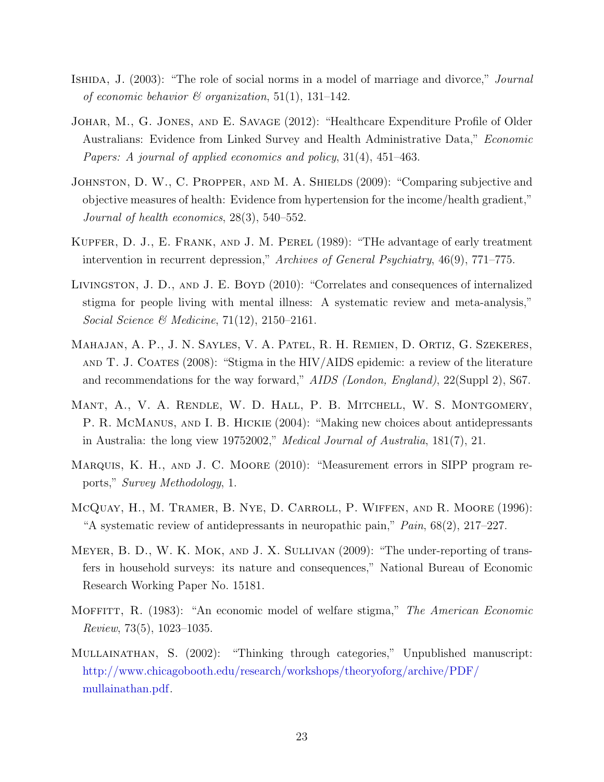- <span id="page-23-3"></span>ISHIDA, J. (2003): "The role of social norms in a model of marriage and divorce," *Journal* of economic behavior  $\mathcal C$  organization, 51(1), 131–142.
- <span id="page-23-8"></span>Johar, M., G. Jones, and E. Savage (2012): "Healthcare Expenditure Profile of Older Australians: Evidence from Linked Survey and Health Administrative Data," Economic Papers: A journal of applied economics and policy, 31(4), 451–463.
- <span id="page-23-4"></span>JOHNSTON, D. W., C. PROPPER, AND M. A. SHIELDS (2009): "Comparing subjective and objective measures of health: Evidence from hypertension for the income/health gradient," Journal of health economics, 28(3), 540–552.
- <span id="page-23-1"></span>Kupfer, D. J., E. Frank, and J. M. Perel (1989): "THe advantage of early treatment intervention in recurrent depression," Archives of General Psychiatry, 46(9), 771–775.
- <span id="page-23-11"></span>Livingston, J. D., and J. E. Boyd (2010): "Correlates and consequences of internalized stigma for people living with mental illness: A systematic review and meta-analysis," Social Science & Medicine, 71(12), 2150–2161.
- <span id="page-23-0"></span>Mahajan, A. P., J. N. Sayles, V. A. Patel, R. H. Remien, D. Ortiz, G. Szekeres, AND T. J. COATES  $(2008)$ : "Stigma in the HIV/AIDS epidemic: a review of the literature and recommendations for the way forward," AIDS (London, England), 22(Suppl 2), S67.
- <span id="page-23-9"></span>Mant, A., V. A. Rendle, W. D. Hall, P. B. Mitchell, W. S. Montgomery, P. R. MCMANUS, AND I. B. HICKIE (2004): "Making new choices about antidepressants in Australia: the long view 19752002," Medical Journal of Australia, 181(7), 21.
- <span id="page-23-5"></span>Marquis, K. H., and J. C. Moore (2010): "Measurement errors in SIPP program reports," Survey Methodology, 1.
- <span id="page-23-10"></span>McQuay, H., M. Tramer, B. Nye, D. Carroll, P. Wiffen, and R. Moore (1996): "A systematic review of antidepressants in neuropathic pain,"  $Pain$ ,  $68(2)$ ,  $217-227$ .
- <span id="page-23-6"></span>Meyer, B. D., W. K. Mok, and J. X. Sullivan (2009): "The under-reporting of transfers in household surveys: its nature and consequences," National Bureau of Economic Research Working Paper No. 15181.
- <span id="page-23-2"></span>MOFFITT, R. (1983): "An economic model of welfare stigma," The American Economic Review, 73(5), 1023–1035.
- <span id="page-23-7"></span>Mullainathan, S. (2002): "Thinking through categories," Unpublished manuscript: [http://www.chicagobooth.edu/research/workshops/theoryoforg/archive/PDF/](http://www.chicagobooth.edu/research/workshops/theoryoforg/archive/PDF/mullainathan.pdf) [mullainathan.pdf.](http://www.chicagobooth.edu/research/workshops/theoryoforg/archive/PDF/mullainathan.pdf)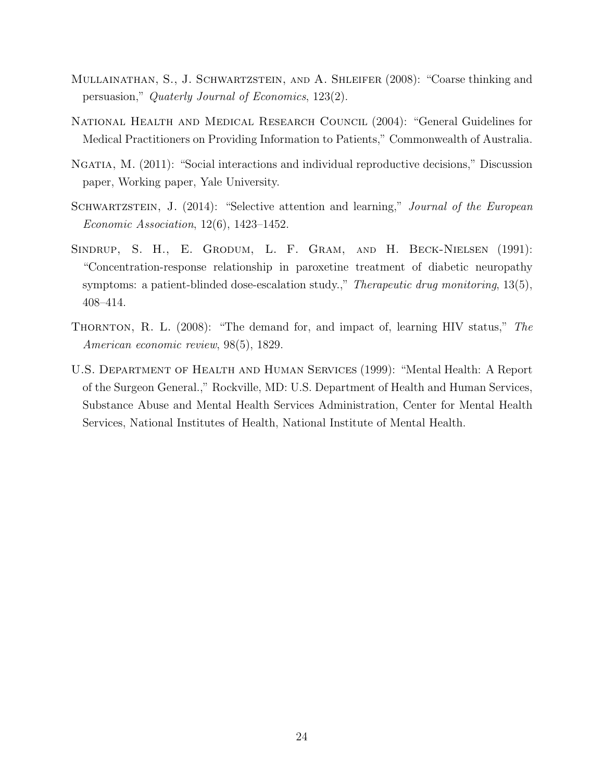- <span id="page-24-3"></span>Mullainathan, S., J. Schwartzstein, and A. Shleifer (2008): "Coarse thinking and persuasion," Quaterly Journal of Economics, 123(2).
- <span id="page-24-5"></span>National Health and Medical Research Council (2004): "General Guidelines for Medical Practitioners on Providing Information to Patients," Commonwealth of Australia.
- <span id="page-24-2"></span>Ngatia, M. (2011): "Social interactions and individual reproductive decisions," Discussion paper, Working paper, Yale University.
- <span id="page-24-4"></span>SCHWARTZSTEIN, J. (2014): "Selective attention and learning," Journal of the European Economic Association, 12(6), 1423–1452.
- <span id="page-24-6"></span>SINDRUP, S. H., E. GRODUM, L. F. GRAM, AND H. BECK-NIELSEN (1991): "Concentration-response relationship in paroxetine treatment of diabetic neuropathy symptoms: a patient-blinded dose-escalation study.," *Therapeutic drug monitoring*,  $13(5)$ , 408–414.
- <span id="page-24-1"></span>THORNTON, R. L. (2008): "The demand for, and impact of, learning HIV status," The American economic review, 98(5), 1829.
- <span id="page-24-0"></span>U.S. Department of Health and Human Services (1999): "Mental Health: A Report of the Surgeon General.," Rockville, MD: U.S. Department of Health and Human Services, Substance Abuse and Mental Health Services Administration, Center for Mental Health Services, National Institutes of Health, National Institute of Mental Health.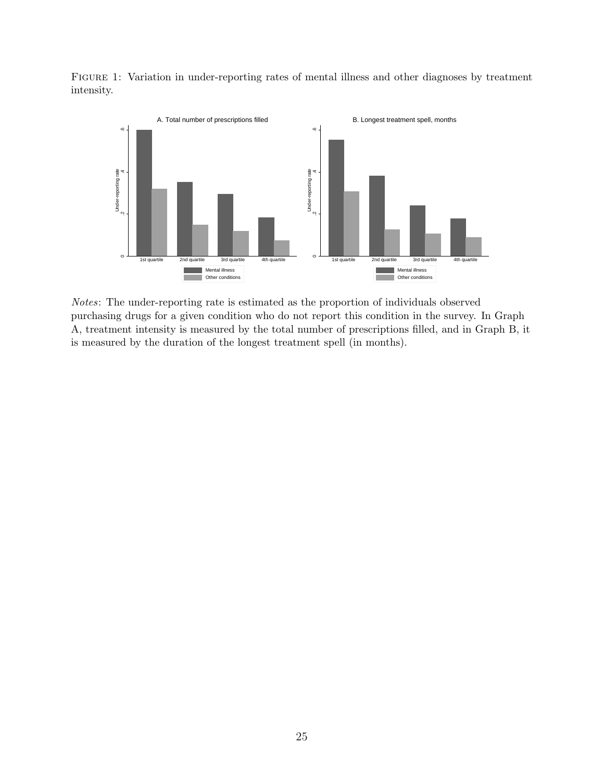<span id="page-25-0"></span>Figure 1: Variation in under-reporting rates of mental illness and other diagnoses by treatment intensity.



Notes: The under-reporting rate is estimated as the proportion of individuals observed purchasing drugs for a given condition who do not report this condition in the survey. In Graph A, treatment intensity is measured by the total number of prescriptions filled, and in Graph B, it is measured by the duration of the longest treatment spell (in months).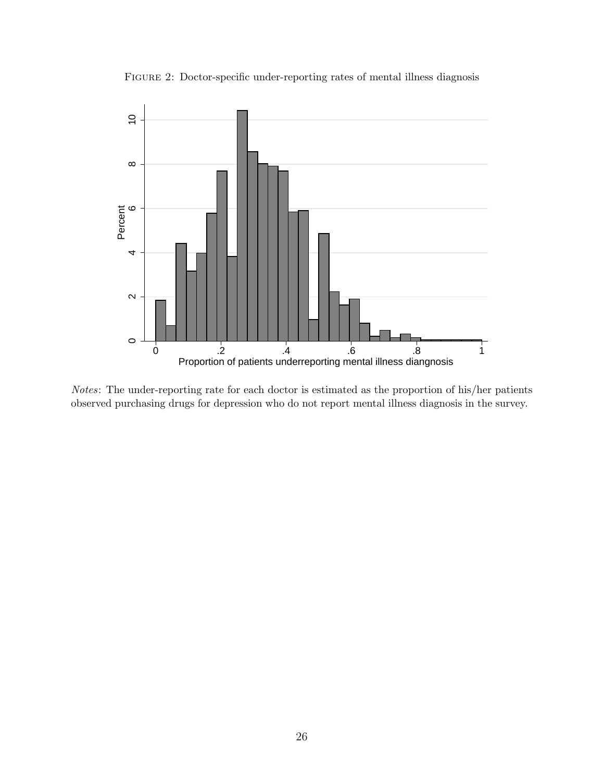Figure 2: Doctor-specific under-reporting rates of mental illness diagnosis

<span id="page-26-0"></span>

Notes: The under-reporting rate for each doctor is estimated as the proportion of his/her patients observed purchasing drugs for depression who do not report mental illness diagnosis in the survey.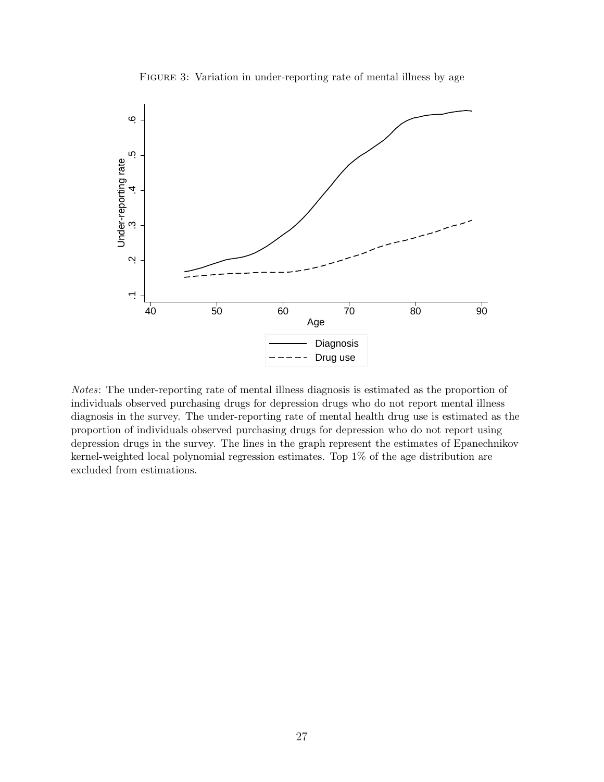Figure 3: Variation in under-reporting rate of mental illness by age

<span id="page-27-0"></span>

Notes: The under-reporting rate of mental illness diagnosis is estimated as the proportion of individuals observed purchasing drugs for depression drugs who do not report mental illness diagnosis in the survey. The under-reporting rate of mental health drug use is estimated as the proportion of individuals observed purchasing drugs for depression who do not report using depression drugs in the survey. The lines in the graph represent the estimates of Epanechnikov kernel-weighted local polynomial regression estimates. Top 1% of the age distribution are excluded from estimations.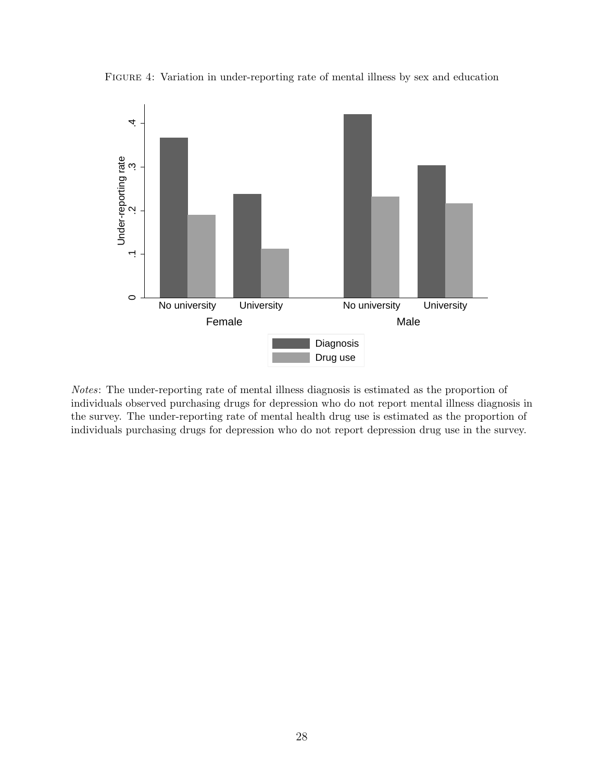

<span id="page-28-0"></span>Figure 4: Variation in under-reporting rate of mental illness by sex and education

Notes: The under-reporting rate of mental illness diagnosis is estimated as the proportion of individuals observed purchasing drugs for depression who do not report mental illness diagnosis in the survey. The under-reporting rate of mental health drug use is estimated as the proportion of individuals purchasing drugs for depression who do not report depression drug use in the survey.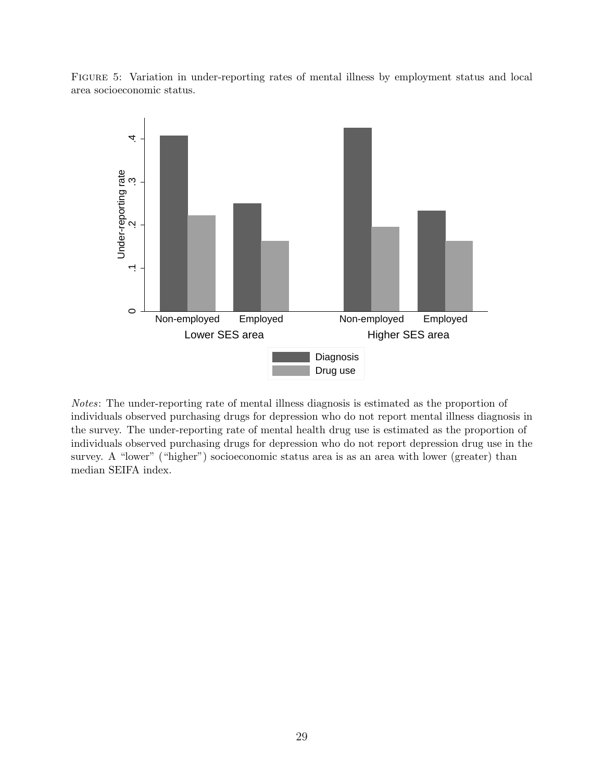<span id="page-29-0"></span>Figure 5: Variation in under-reporting rates of mental illness by employment status and local area socioeconomic status.



Notes: The under-reporting rate of mental illness diagnosis is estimated as the proportion of individuals observed purchasing drugs for depression who do not report mental illness diagnosis in the survey. The under-reporting rate of mental health drug use is estimated as the proportion of individuals observed purchasing drugs for depression who do not report depression drug use in the survey. A "lower" ("higher") socioeconomic status area is as an area with lower (greater) than median SEIFA index.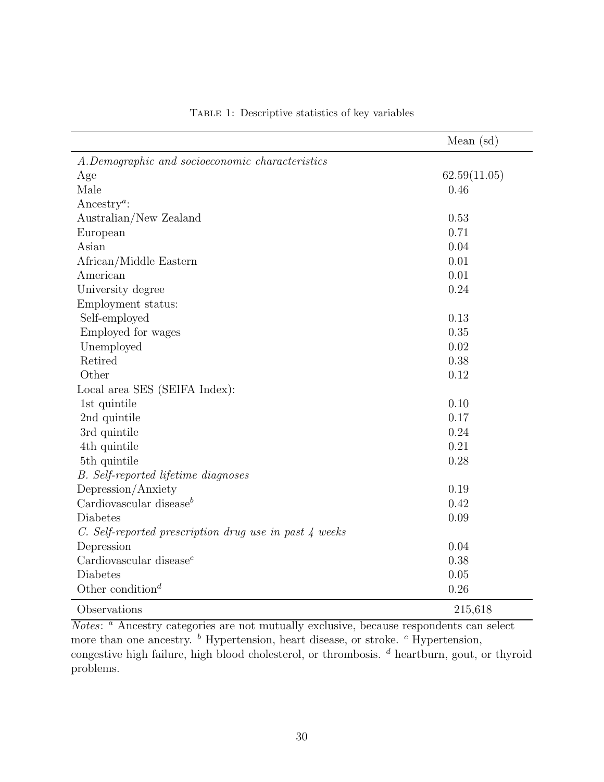<span id="page-30-0"></span>

|                                                        | Mean $(sd)$  |
|--------------------------------------------------------|--------------|
| A.Demographic and socioeconomic characteristics        |              |
| Age                                                    | 62.59(11.05) |
| Male                                                   | 0.46         |
| Ancestry <sup>a</sup> :                                |              |
| Australian/New Zealand                                 | 0.53         |
| European                                               | 0.71         |
| Asian                                                  | 0.04         |
| African/Middle Eastern                                 | 0.01         |
| American                                               | 0.01         |
| University degree                                      | 0.24         |
| Employment status:                                     |              |
| Self-employed                                          | 0.13         |
| Employed for wages                                     | 0.35         |
| Unemployed                                             | 0.02         |
| Retired                                                | 0.38         |
| Other                                                  | 0.12         |
| Local area SES (SEIFA Index):                          |              |
| 1st quintile                                           | 0.10         |
| 2nd quintile                                           | 0.17         |
| 3rd quintile                                           | 0.24         |
| 4th quintile                                           | 0.21         |
| 5th quintile                                           | 0.28         |
| <b>B.</b> Self-reported lifetime diagnoses             |              |
| Depression/Anxiety                                     | 0.19         |
| Cardiovascular disease $^b$                            | 0.42         |
| Diabetes                                               | 0.09         |
| C. Self-reported prescription drug use in past 4 weeks |              |
| Depression                                             | 0.04         |
| Cardiovascular disease $^c$                            | 0.38         |
| Diabetes                                               | 0.05         |
| Other condition <sup>d</sup>                           | 0.26         |
| Observations                                           | 215,618      |

Table 1: Descriptive statistics of key variables

Notes: <sup>a</sup> Ancestry categories are not mutually exclusive, because respondents can select more than one ancestry.  $\overset{b}{\phantom{b}}$  Hypertension, heart disease, or stroke.  $\overset{c}{\phantom{c}}$  Hypertension, congestive high failure, high blood cholesterol, or thrombosis.  $d$  heartburn, gout, or thyroid problems.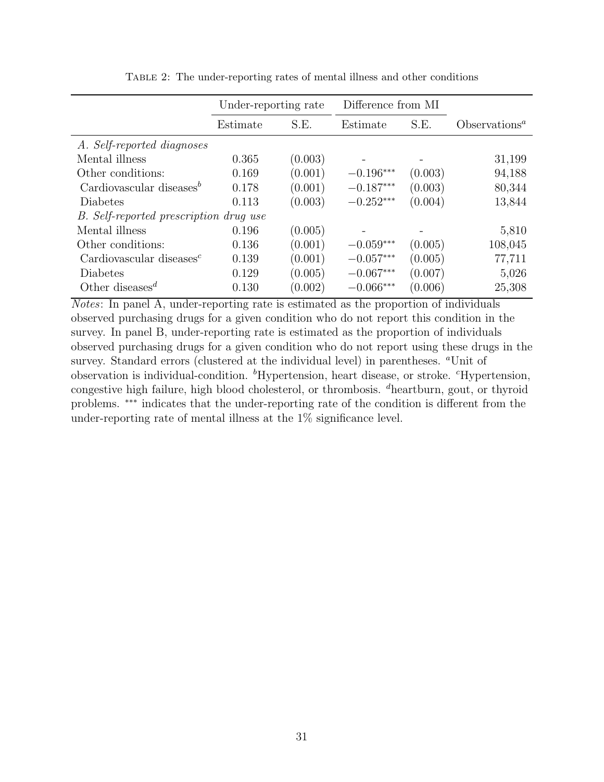<span id="page-31-0"></span>

|                                          | Under-reporting rate |         | Difference from MI |         |                  |
|------------------------------------------|----------------------|---------|--------------------|---------|------------------|
|                                          | Estimate             | S.E.    | Estimate           | S.E.    | $Obest vationsa$ |
| A. Self-reported diagnoses               |                      |         |                    |         |                  |
| Mental illness                           | 0.365                | (0.003) |                    |         | 31,199           |
| Other conditions:                        | 0.169                | (0.001) | $-0.196***$        | (0.003) | 94,188           |
| Cardiovascular diseases <sup>b</sup>     | 0.178                | (0.001) | $-0.187***$        | (0.003) | 80,344           |
| <b>Diabetes</b>                          | 0.113                | (0.003) | $-0.252***$        | (0.004) | 13,844           |
| B. Self-reported prescription drug use   |                      |         |                    |         |                  |
| Mental illness                           | 0.196                | (0.005) |                    |         | 5,810            |
| Other conditions:                        | 0.136                | (0.001) | $-0.059***$        | (0.005) | 108,045          |
| Cardiovascular diseases $^c$             | 0.139                | (0.001) | $-0.057***$        | (0.005) | 77,711           |
| Diabetes                                 | 0.129                | (0.005) | $-0.067***$        | (0.007) | 5,026            |
| Other diseases <sup><math>d</math></sup> | 0.130                | (0.002) | $-0.066***$        | (0.006) | 25,308           |

Table 2: The under-reporting rates of mental illness and other conditions

Notes: In panel A, under-reporting rate is estimated as the proportion of individuals observed purchasing drugs for a given condition who do not report this condition in the survey. In panel B, under-reporting rate is estimated as the proportion of individuals observed purchasing drugs for a given condition who do not report using these drugs in the survey. Standard errors (clustered at the individual level) in parentheses. <sup>a</sup>Unit of observation is individual-condition.  ${}^{b}$ Hypertension, heart disease, or stroke.  ${}^{c}$ Hypertension, congestive high failure, high blood cholesterol, or thrombosis. <sup>d</sup>heartburn, gout, or thyroid problems. ∗∗∗ indicates that the under-reporting rate of the condition is different from the under-reporting rate of mental illness at the  $1\%$  significance level.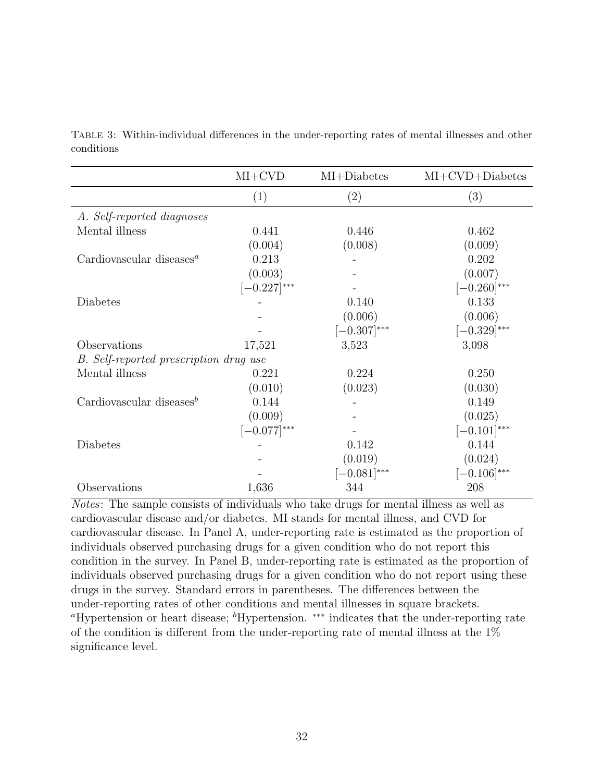|                                        | $MI+CVD$         | MI+Diabetes      | $MI+ CVD+Diabetes$ |
|----------------------------------------|------------------|------------------|--------------------|
|                                        | (1)              | (2)              | (3)                |
| A. Self-reported diagnoses             |                  |                  |                    |
| Mental illness                         | 0.441            | 0.446            | 0.462              |
|                                        | (0.004)          | (0.008)          | (0.009)            |
| Cardiovascular diseases $^a$           | 0.213            |                  | 0.202              |
|                                        | (0.003)          |                  | (0.007)            |
|                                        | $[-0.227]^{***}$ |                  | $[-0.260]^{***}$   |
| Diabetes                               |                  | 0.140            | 0.133              |
|                                        |                  | (0.006)          | (0.006)            |
|                                        |                  | $[-0.307]^{***}$ | $[-0.329]^{***}$   |
| Observations                           | 17,521           | 3,523            | 3,098              |
| B. Self-reported prescription drug use |                  |                  |                    |
| Mental illness                         | 0.221            | 0.224            | 0.250              |
|                                        | (0.010)          | (0.023)          | (0.030)            |
| Cardiovascular diseases <sup>b</sup>   | 0.144            |                  | 0.149              |
|                                        | (0.009)          |                  | (0.025)            |
|                                        | $[-0.077]$ ***   |                  | $[-0.101]^{***}$   |
| Diabetes                               |                  | 0.142            | 0.144              |
|                                        |                  | (0.019)          | (0.024)            |
|                                        |                  | $[-0.081]^{***}$ | $[-0.106]^{***}$   |
| Observations                           | 1,636            | 344              | 208                |

<span id="page-32-0"></span>Table 3: Within-individual differences in the under-reporting rates of mental illnesses and other conditions

Notes: The sample consists of individuals who take drugs for mental illness as well as cardiovascular disease and/or diabetes. MI stands for mental illness, and CVD for cardiovascular disease. In Panel A, under-reporting rate is estimated as the proportion of individuals observed purchasing drugs for a given condition who do not report this condition in the survey. In Panel B, under-reporting rate is estimated as the proportion of individuals observed purchasing drugs for a given condition who do not report using these drugs in the survey. Standard errors in parentheses. The differences between the under-reporting rates of other conditions and mental illnesses in square brackets. <sup>a</sup>Hypertension or heart disease; <sup>b</sup>Hypertension. <sup>\*\*\*</sup> indicates that the under-reporting rate of the condition is different from the under-reporting rate of mental illness at the  $1\%$ significance level.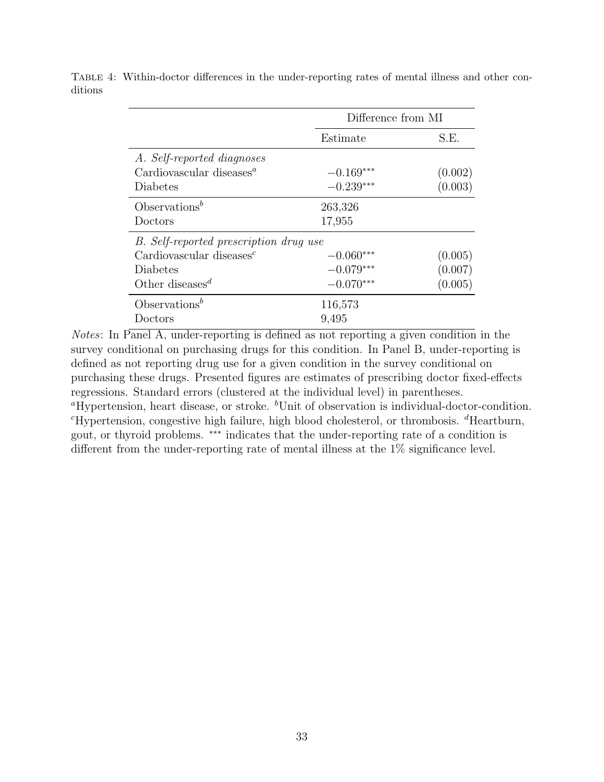|                                                   | Difference from MI |         |  |
|---------------------------------------------------|--------------------|---------|--|
|                                                   | Estimate           | S.E.    |  |
| A. Self-reported diagnoses                        |                    |         |  |
| Cardiovascular diseases <sup><math>a</math></sup> | $-0.169***$        | (0.002) |  |
| Diabetes                                          | $-0.239***$        | (0.003) |  |
| Observations <sup>b</sup>                         | 263,326            |         |  |
| Doctors                                           | 17,955             |         |  |
| B. Self-reported prescription drug use            |                    |         |  |
| Cardiovascular diseases $^c$                      | $-0.060***$        | (0.005) |  |
| Diabetes                                          | $-0.079***$        | (0.007) |  |
| Other diseases <sup><math>d</math></sup>          | $-0.070***$        | (0.005) |  |
| Observations <sup>b</sup>                         | 116,573            |         |  |
| Doctors                                           | 9,495              |         |  |

<span id="page-33-0"></span>Table 4: Within-doctor differences in the under-reporting rates of mental illness and other conditions

Notes: In Panel A, under-reporting is defined as not reporting a given condition in the survey conditional on purchasing drugs for this condition. In Panel B, under-reporting is defined as not reporting drug use for a given condition in the survey conditional on purchasing these drugs. Presented figures are estimates of prescribing doctor fixed-effects regressions. Standard errors (clustered at the individual level) in parentheses. <sup>a</sup>Hypertension, heart disease, or stroke.  $^{b}$ Unit of observation is individual-doctor-condition.  ${}^c$ Hypertension, congestive high failure, high blood cholesterol, or thrombosis.  ${}^d$ Heartburn, gout, or thyroid problems. ∗∗∗ indicates that the under-reporting rate of a condition is different from the under-reporting rate of mental illness at the 1% significance level.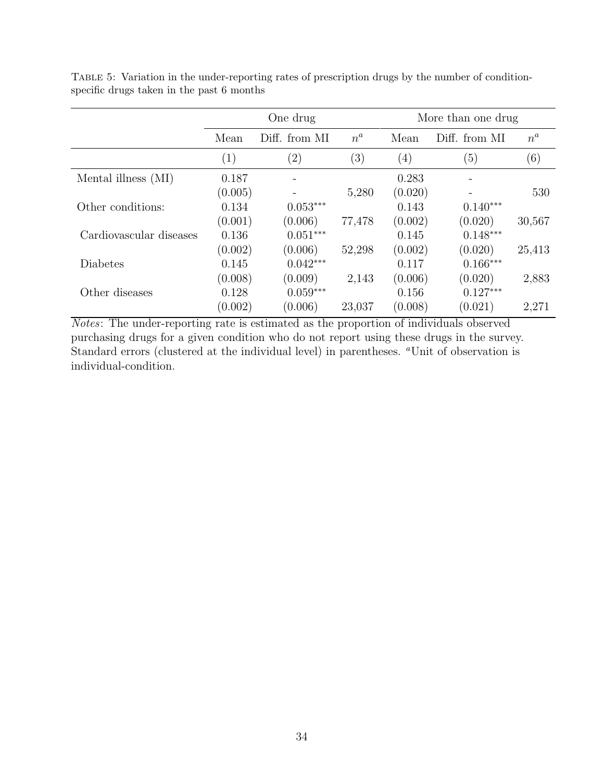|                         |                  | One drug          |        |                  | More than one drug |        |
|-------------------------|------------------|-------------------|--------|------------------|--------------------|--------|
|                         | Mean             | Diff. from MI     | $n^a$  | Mean             | Diff. from MI      | $n^a$  |
|                         | $\left(1\right)$ | $\left( 2\right)$ | (3)    | $\left(4\right)$ | (5)                | (6)    |
| Mental illness (MI)     | 0.187            |                   |        | 0.283            |                    |        |
|                         | (0.005)          |                   | 5,280  | (0.020)          |                    | 530    |
| Other conditions:       | 0.134            | $0.053***$        |        | 0.143            | $0.140***$         |        |
|                         | (0.001)          | (0.006)           | 77,478 | (0.002)          | (0.020)            | 30,567 |
| Cardiovascular diseases | 0.136            | $0.051***$        |        | 0.145            | $0.148***$         |        |
|                         | (0.002)          | (0.006)           | 52,298 | (0.002)          | (0.020)            | 25,413 |
| Diabetes                | 0.145            | $0.042***$        |        | 0.117            | $0.166***$         |        |
|                         | (0.008)          | (0.009)           | 2,143  | (0.006)          | (0.020)            | 2,883  |
| Other diseases          | 0.128            | $0.059***$        |        | 0.156            | $0.127***$         |        |
|                         | (0.002)          | (0.006)           | 23,037 | (0.008)          | (0.021)            | 2,271  |

<span id="page-34-0"></span>Table 5: Variation in the under-reporting rates of prescription drugs by the number of conditionspecific drugs taken in the past 6 months

Notes: The under-reporting rate is estimated as the proportion of individuals observed purchasing drugs for a given condition who do not report using these drugs in the survey. Standard errors (clustered at the individual level) in parentheses. "Unit of observation is individual-condition.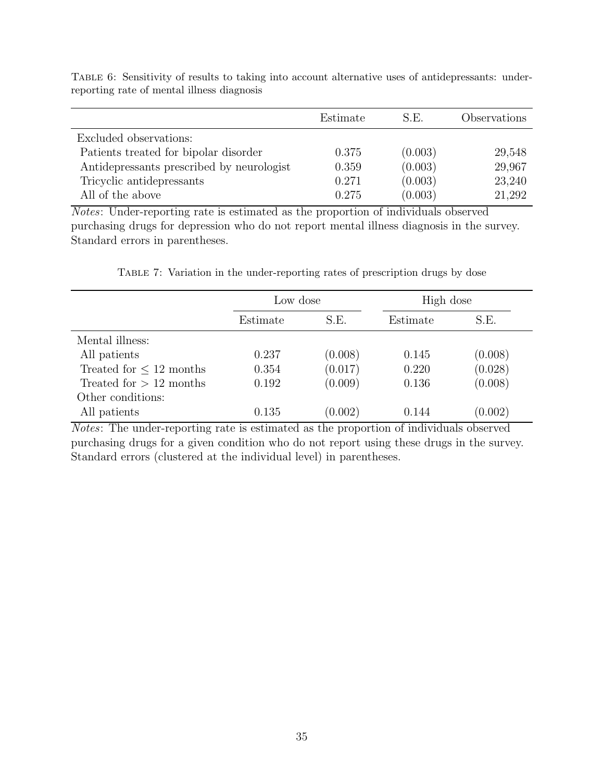|                                           | Estimate | S.E.    | Observations |
|-------------------------------------------|----------|---------|--------------|
| Excluded observations:                    |          |         |              |
| Patients treated for bipolar disorder     | 0.375    | (0.003) | 29,548       |
| Antidepressants prescribed by neurologist | 0.359    | (0.003) | 29,967       |
| Tricyclic antidepressants                 | 0.271    | (0.003) | 23,240       |
| All of the above                          | 0.275    | (0.003) | 21,292       |

<span id="page-35-0"></span>TABLE 6: Sensitivity of results to taking into account alternative uses of antidepressants: underreporting rate of mental illness diagnosis

Notes: Under-reporting rate is estimated as the proportion of individuals observed purchasing drugs for depression who do not report mental illness diagnosis in the survey. Standard errors in parentheses.

Table 7: Variation in the under-reporting rates of prescription drugs by dose

<span id="page-35-1"></span>

|                              | Low dose |         | High dose |         |
|------------------------------|----------|---------|-----------|---------|
|                              | Estimate | S.E.    | Estimate  | S.E.    |
| Mental illness:              |          |         |           |         |
| All patients                 | 0.237    | (0.008) | 0.145     | (0.008) |
| Treated for $\leq 12$ months | 0.354    | (0.017) | 0.220     | (0.028) |
| Treated for $> 12$ months    | 0.192    | (0.009) | 0.136     | (0.008) |
| Other conditions:            |          |         |           |         |
| All patients                 | 0.135    | (0.002) | 0.144     | (0.002) |

Notes: The under-reporting rate is estimated as the proportion of individuals observed purchasing drugs for a given condition who do not report using these drugs in the survey. Standard errors (clustered at the individual level) in parentheses.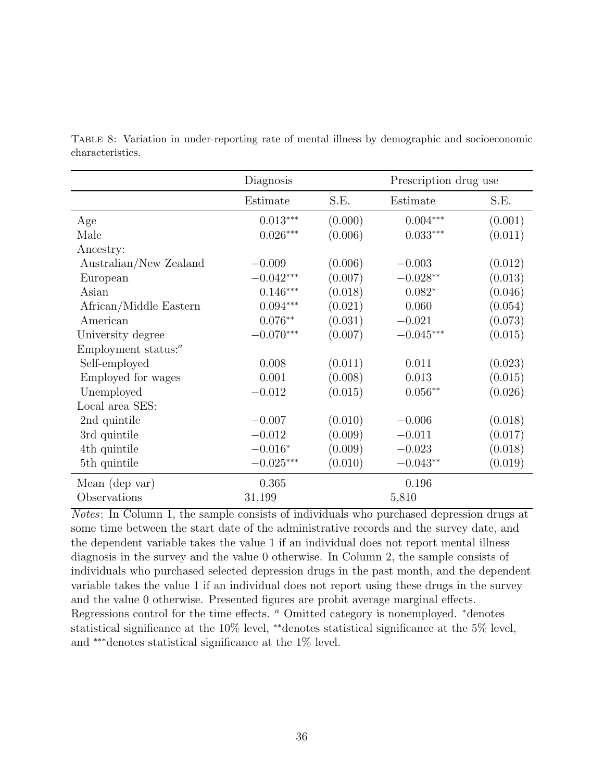|                        | Diagnosis   |         | Prescription drug use |         |
|------------------------|-------------|---------|-----------------------|---------|
|                        | Estimate    | S.E.    | Estimate              | S.E.    |
| Age                    | $0.013***$  | (0.000) | $0.004***$            | (0.001) |
| Male                   | $0.026***$  | (0.006) | $0.033***$            | (0.011) |
| Ancestry:              |             |         |                       |         |
| Australian/New Zealand | $-0.009$    | (0.006) | $-0.003$              | (0.012) |
| European               | $-0.042***$ | (0.007) | $-0.028**$            | (0.013) |
| Asian                  | $0.146***$  | (0.018) | $0.082*$              | (0.046) |
| African/Middle Eastern | $0.094***$  | (0.021) | 0.060                 | (0.054) |
| American               | $0.076**$   | (0.031) | $-0.021$              | (0.073) |
| University degree      | $-0.070***$ | (0.007) | $-0.045***$           | (0.015) |
| Employment status: $a$ |             |         |                       |         |
| Self-employed          | 0.008       | (0.011) | 0.011                 | (0.023) |
| Employed for wages     | 0.001       | (0.008) | 0.013                 | (0.015) |
| Unemployed             | $-0.012$    | (0.015) | $0.056**$             | (0.026) |
| Local area SES:        |             |         |                       |         |
| 2nd quintile           | $-0.007$    | (0.010) | $-0.006$              | (0.018) |
| 3rd quintile           | $-0.012$    | (0.009) | $-0.011$              | (0.017) |
| 4th quintile           | $-0.016*$   | (0.009) | $-0.023$              | (0.018) |
| 5th quintile           | $-0.025***$ | (0.010) | $-0.043**$            | (0.019) |
| Mean (dep var)         | 0.365       |         | 0.196                 |         |
| Observations           | 31,199      |         | 5,810                 |         |

<span id="page-36-0"></span>Table 8: Variation in under-reporting rate of mental illness by demographic and socioeconomic characteristics.

Notes: In Column 1, the sample consists of individuals who purchased depression drugs at some time between the start date of the administrative records and the survey date, and the dependent variable takes the value 1 if an individual does not report mental illness diagnosis in the survey and the value 0 otherwise. In Column 2, the sample consists of individuals who purchased selected depression drugs in the past month, and the dependent variable takes the value 1 if an individual does not report using these drugs in the survey and the value 0 otherwise. Presented figures are probit average marginal effects. Regressions control for the time effects. <sup>a</sup> Omitted category is nonemployed. <sup>∗</sup>denotes statistical significance at the 10% level, \*\*denotes statistical significance at the 5% level, and ∗∗∗denotes statistical significance at the 1% level.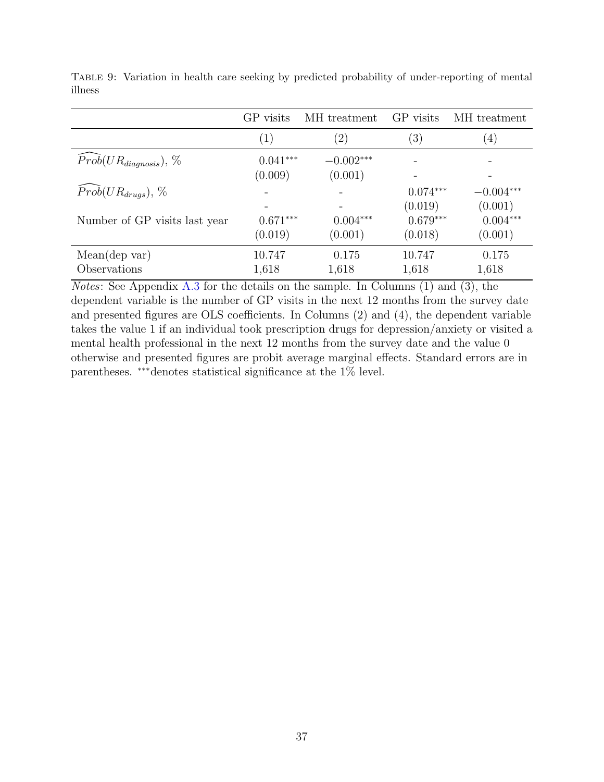|                                      | GP visits  | MH treatment      | GP visits         | MH treatment     |
|--------------------------------------|------------|-------------------|-------------------|------------------|
|                                      | (1)        | $\left( 2\right)$ | $\left( 3\right)$ | $\left(4\right)$ |
| $\widehat{Prob}(UR_{diagnosis}), \%$ | $0.041***$ | $-0.002***$       |                   |                  |
|                                      | (0.009)    | (0.001)           |                   |                  |
| $Prob(UR_{drugs}), \%$               |            |                   | $0.074***$        | $-0.004***$      |
|                                      |            |                   | (0.019)           | (0.001)          |
| Number of GP visits last year        | $0.671***$ | $0.004***$        | $0.679***$        | $0.004***$       |
|                                      | (0.019)    | (0.001)           | (0.018)           | (0.001)          |
| Mean(dep var)                        | 10.747     | 0.175             | 10.747            | 0.175            |
| Observations                         | 1,618      | 1,618             | 1,618             | 1,618            |

<span id="page-37-0"></span>Table 9: Variation in health care seeking by predicted probability of under-reporting of mental illness

Notes: See Appendix [A.3](#page-40-0) for the details on the sample. In Columns (1) and (3), the dependent variable is the number of GP visits in the next 12 months from the survey date and presented figures are OLS coefficients. In Columns (2) and (4), the dependent variable takes the value 1 if an individual took prescription drugs for depression/anxiety or visited a mental health professional in the next 12 months from the survey date and the value 0 otherwise and presented figures are probit average marginal effects. Standard errors are in parentheses. ∗∗∗denotes statistical significance at the 1% level.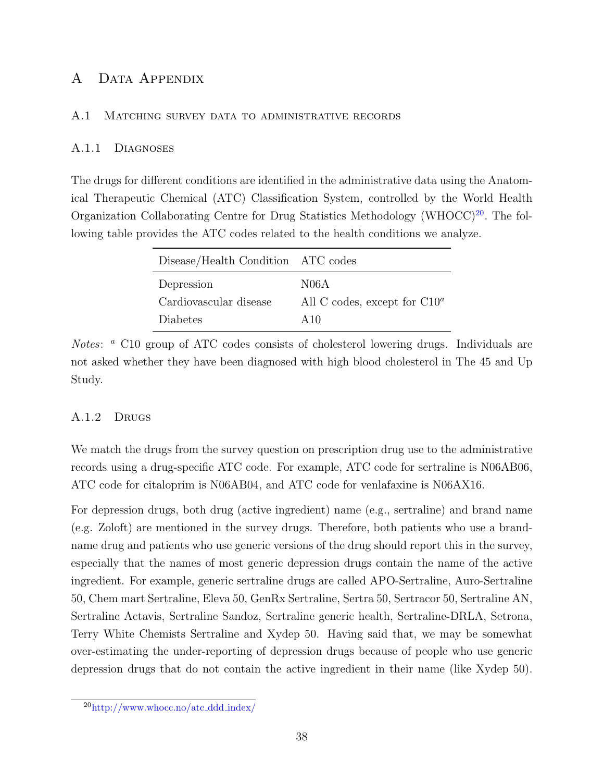## A Data Appendix

#### <span id="page-38-0"></span>A.1 Matching survey data to administrative records

#### A.1.1 Diagnoses

The drugs for different conditions are identified in the administrative data using the Anatomical Therapeutic Chemical (ATC) Classification System, controlled by the World Health Organization Collaborating Centre for Drug Statistics Methodology (WHOCC)<sup>[20](#page-38-2)</sup>. The following table provides the ATC codes related to the health conditions we analyze.

| Disease/Health Condition ATC codes |                                 |
|------------------------------------|---------------------------------|
| Depression                         | N06A                            |
| Cardiovascular disease             | All C codes, except for $C10^a$ |
| Diabetes                           | A $10$                          |

Notes: <sup>a</sup> C10 group of ATC codes consists of cholesterol lowering drugs. Individuals are not asked whether they have been diagnosed with high blood cholesterol in The 45 and Up Study.

## <span id="page-38-1"></span>A.1.2 Drugs

We match the drugs from the survey question on prescription drug use to the administrative records using a drug-specific ATC code. For example, ATC code for sertraline is N06AB06, ATC code for citaloprim is N06AB04, and ATC code for venlafaxine is N06AX16.

For depression drugs, both drug (active ingredient) name (e.g., sertraline) and brand name (e.g. Zoloft) are mentioned in the survey drugs. Therefore, both patients who use a brandname drug and patients who use generic versions of the drug should report this in the survey, especially that the names of most generic depression drugs contain the name of the active ingredient. For example, generic sertraline drugs are called APO-Sertraline, Auro-Sertraline 50, Chem mart Sertraline, Eleva 50, GenRx Sertraline, Sertra 50, Sertracor 50, Sertraline AN, Sertraline Actavis, Sertraline Sandoz, Sertraline generic health, Sertraline-DRLA, Setrona, Terry White Chemists Sertraline and Xydep 50. Having said that, we may be somewhat over-estimating the under-reporting of depression drugs because of people who use generic depression drugs that do not contain the active ingredient in their name (like Xydep 50).

<span id="page-38-2"></span><sup>20</sup>[http://www.whocc.no/atc](http://www.whocc.no/atc_ddd_index/) ddd index/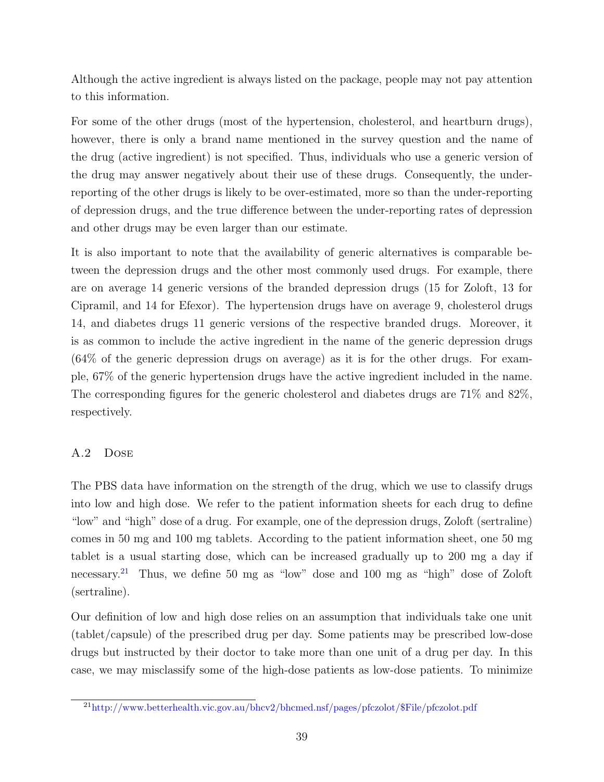Although the active ingredient is always listed on the package, people may not pay attention to this information.

For some of the other drugs (most of the hypertension, cholesterol, and heartburn drugs), however, there is only a brand name mentioned in the survey question and the name of the drug (active ingredient) is not specified. Thus, individuals who use a generic version of the drug may answer negatively about their use of these drugs. Consequently, the underreporting of the other drugs is likely to be over-estimated, more so than the under-reporting of depression drugs, and the true difference between the under-reporting rates of depression and other drugs may be even larger than our estimate.

It is also important to note that the availability of generic alternatives is comparable between the depression drugs and the other most commonly used drugs. For example, there are on average 14 generic versions of the branded depression drugs (15 for Zoloft, 13 for Cipramil, and 14 for Efexor). The hypertension drugs have on average 9, cholesterol drugs 14, and diabetes drugs 11 generic versions of the respective branded drugs. Moreover, it is as common to include the active ingredient in the name of the generic depression drugs (64% of the generic depression drugs on average) as it is for the other drugs. For example, 67% of the generic hypertension drugs have the active ingredient included in the name. The corresponding figures for the generic cholesterol and diabetes drugs are 71% and 82%, respectively.

## <span id="page-39-0"></span>A.2 Dose

The PBS data have information on the strength of the drug, which we use to classify drugs into low and high dose. We refer to the patient information sheets for each drug to define "low" and "high" dose of a drug. For example, one of the depression drugs, Zoloft (sertraline) comes in 50 mg and 100 mg tablets. According to the patient information sheet, one 50 mg tablet is a usual starting dose, which can be increased gradually up to 200 mg a day if necessary.[21](#page-39-1) Thus, we define 50 mg as "low" dose and 100 mg as "high" dose of Zoloft (sertraline).

Our definition of low and high dose relies on an assumption that individuals take one unit (tablet/capsule) of the prescribed drug per day. Some patients may be prescribed low-dose drugs but instructed by their doctor to take more than one unit of a drug per day. In this case, we may misclassify some of the high-dose patients as low-dose patients. To minimize

<span id="page-39-1"></span><sup>21</sup>[http://www.betterhealth.vic.gov.au/bhcv2/bhcmed.nsf/pages/pfczolot/\\$File/pfczolot.pdf](http://www.betterhealth.vic.gov.au/bhcv2/bhcmed.nsf/pages/pfczolot/$File/pfczolot.pdf)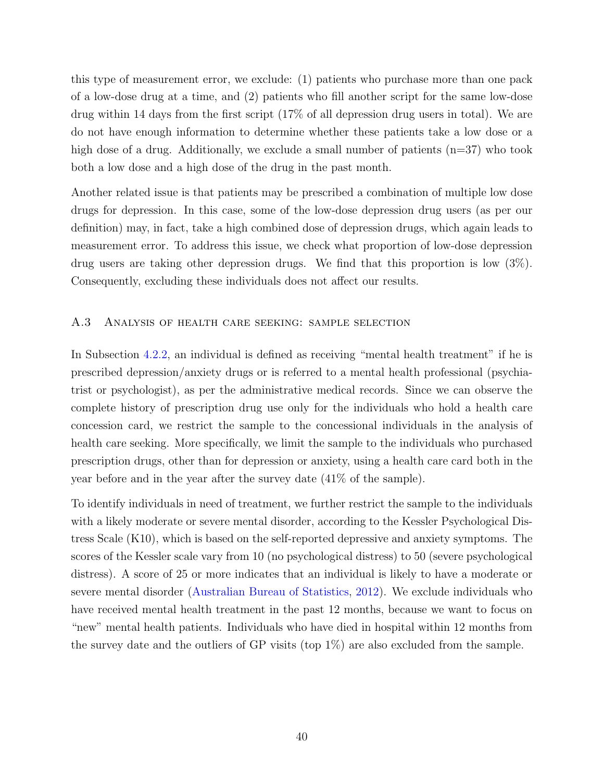this type of measurement error, we exclude: (1) patients who purchase more than one pack of a low-dose drug at a time, and (2) patients who fill another script for the same low-dose drug within 14 days from the first script (17% of all depression drug users in total). We are do not have enough information to determine whether these patients take a low dose or a high dose of a drug. Additionally, we exclude a small number of patients  $(n=37)$  who took both a low dose and a high dose of the drug in the past month.

Another related issue is that patients may be prescribed a combination of multiple low dose drugs for depression. In this case, some of the low-dose depression drug users (as per our definition) may, in fact, take a high combined dose of depression drugs, which again leads to measurement error. To address this issue, we check what proportion of low-dose depression drug users are taking other depression drugs. We find that this proportion is low (3%). Consequently, excluding these individuals does not affect our results.

#### <span id="page-40-0"></span>A.3 Analysis of health care seeking: sample selection

In Subsection [4.2.2,](#page-18-1) an individual is defined as receiving "mental health treatment" if he is prescribed depression/anxiety drugs or is referred to a mental health professional (psychiatrist or psychologist), as per the administrative medical records. Since we can observe the complete history of prescription drug use only for the individuals who hold a health care concession card, we restrict the sample to the concessional individuals in the analysis of health care seeking. More specifically, we limit the sample to the individuals who purchased prescription drugs, other than for depression or anxiety, using a health care card both in the year before and in the year after the survey date (41% of the sample).

To identify individuals in need of treatment, we further restrict the sample to the individuals with a likely moderate or severe mental disorder, according to the Kessler Psychological Distress Scale (K10), which is based on the self-reported depressive and anxiety symptoms. The scores of the Kessler scale vary from 10 (no psychological distress) to 50 (severe psychological distress). A score of 25 or more indicates that an individual is likely to have a moderate or severe mental disorder [\(Australian Bureau of Statistics,](#page-21-11) [2012\)](#page-21-11). We exclude individuals who have received mental health treatment in the past 12 months, because we want to focus on "new" mental health patients. Individuals who have died in hospital within 12 months from the survey date and the outliers of GP visits (top 1%) are also excluded from the sample.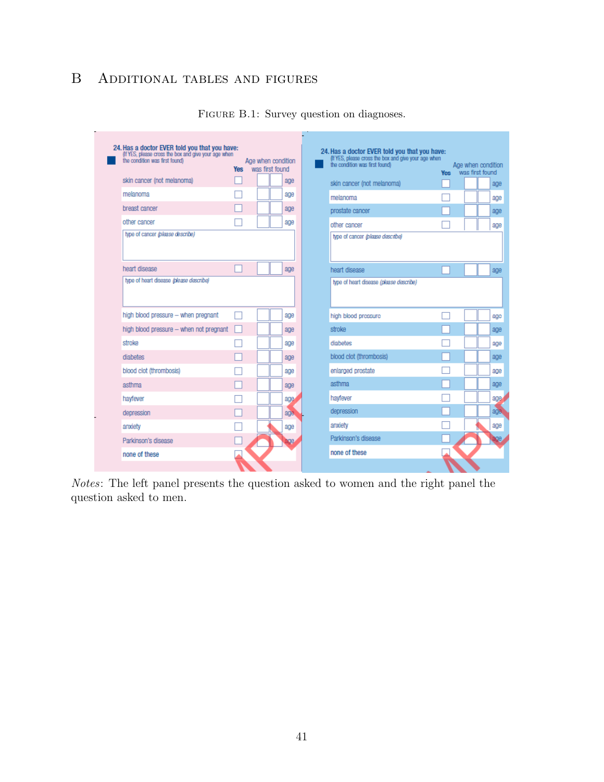# B Additional tables and figures

|                                         | Yes | Age when condition<br>was first found |     | (If YES, please cross the box and give your age when<br>the condition was first found) | <b>Yes</b> was first found | Age when condition |
|-----------------------------------------|-----|---------------------------------------|-----|----------------------------------------------------------------------------------------|----------------------------|--------------------|
| skin cancer (not melanoma)              |     |                                       | age | skin cancer (not melanoma)                                                             |                            |                    |
| melanoma                                |     |                                       | age | melanoma                                                                               |                            |                    |
| breast cancer                           |     |                                       | age | prostate cancer                                                                        |                            |                    |
| other cancer                            |     |                                       | age | other cancer                                                                           |                            |                    |
| type of cancer (please describe)        |     |                                       |     | type of cancer (please describe)                                                       |                            |                    |
| heart disease                           |     |                                       | age | heart disease                                                                          |                            |                    |
| type of heart disease (please describe) |     |                                       |     | type of heart disease (please describe)                                                |                            |                    |
| high blood pressure - when pregnant     |     |                                       | age | high blood pressure                                                                    |                            |                    |
| high blood pressure - when not pregnant |     |                                       | age | stroke                                                                                 |                            |                    |
| stroke                                  |     |                                       | age | diahetes                                                                               |                            |                    |
|                                         |     |                                       | age | blood clot (thrombosis)                                                                |                            |                    |
| diabetes                                |     |                                       |     |                                                                                        |                            |                    |
| blood clot (thrombosis)                 |     |                                       | age | enlarged prostate                                                                      |                            |                    |
| asthma                                  |     |                                       | age | asthma                                                                                 |                            |                    |
| hayfever                                |     |                                       | age | havfever                                                                               |                            |                    |
| depression                              |     |                                       | age | depression                                                                             |                            |                    |
| anxiety                                 |     |                                       | age | anxiety                                                                                |                            |                    |

FIGURE B.1: Survey question on diagnoses.

Notes: The left panel presents the question asked to women and the right panel the question asked to men.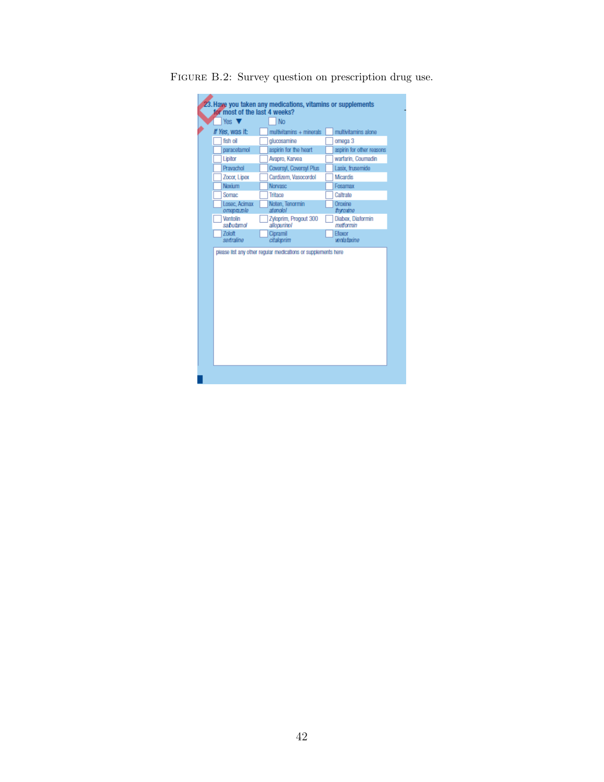| Yes <b>V</b>                | <b>No</b>                            |                                |
|-----------------------------|--------------------------------------|--------------------------------|
| If Yes, was it:             | multivitamins + minerals             | multivitamins alone            |
| fish oil                    | glucosamine                          | omega 3                        |
| paracetamol                 | aspirin for the heart                | aspirin for other reasons      |
| Lipitor                     | Avapro, Karvea                       | warfarin, Coumadin             |
| Pravachol                   | Coversyl, Coversyl Plus              | Lasix, frusemide               |
| Zocor, Lipex                | Cardizern, Vasocordol                | <b>Micardis</b>                |
| <b>Nexium</b>               | <b>Norvasc</b>                       | Fosamax                        |
| <b>Somac</b>                | Tritace                              | Caltrate                       |
| Losec, Acimax<br>omeprazole | Noten, Tenormin<br>atenolol          | Oroxine<br>thyroxine           |
| Ventolin<br>sabutanol       | Zyloprim, Progout 300<br>allopurinol | Diabex, Diaformin<br>metformin |
| <b>Zoloft</b><br>sertraline | Cipramil<br>citaloprim               | <b>Efexor</b><br>venlatazine   |
|                             |                                      |                                |

FIGURE B.2: Survey question on prescription drug use.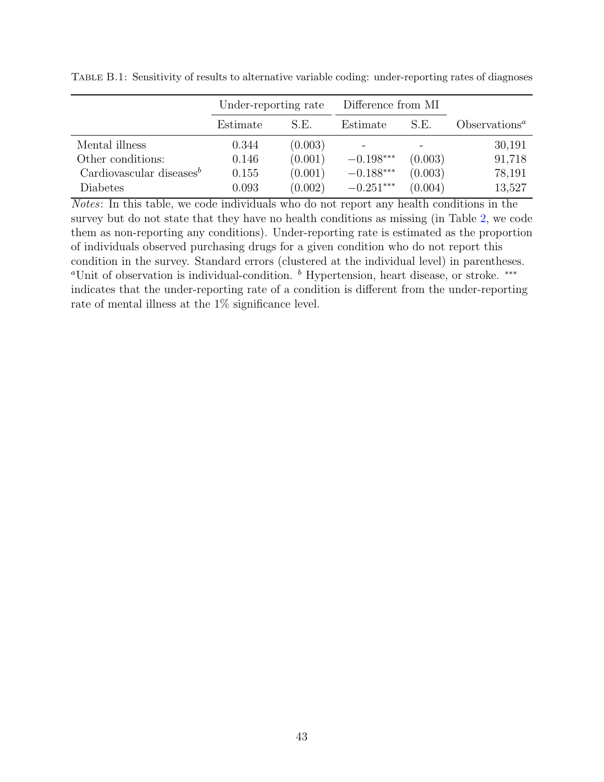|                              | Under-reporting rate |         | Difference from MI |         |                  |
|------------------------------|----------------------|---------|--------------------|---------|------------------|
|                              | Estimate             | S.E.    | Estimate           | S.E.    | $Obest vationsa$ |
| Mental illness               | 0.344                | (0.003) |                    |         | 30,191           |
| Other conditions:            | 0.146                | (0.001) | $-0.198***$        | (0.003) | 91,718           |
| Cardiovascular diseases $^b$ | 0.155                | (0.001) | $-0.188***$        | (0.003) | 78,191           |
| Diabetes                     | 0.093                | (0.002) | $-0.251***$        | (0.004) | 13,527           |

Table B.1: Sensitivity of results to alternative variable coding: under-reporting rates of diagnoses

Notes: In this table, we code individuals who do not report any health conditions in the survey but do not state that they have no health conditions as missing (in Table [2,](#page-31-0) we code them as non-reporting any conditions). Under-reporting rate is estimated as the proportion of individuals observed purchasing drugs for a given condition who do not report this condition in the survey. Standard errors (clustered at the individual level) in parentheses. <sup>a</sup>Unit of observation is individual-condition. <sup>b</sup> Hypertension, heart disease, or stroke. <sup>\*\*\*</sup> indicates that the under-reporting rate of a condition is different from the under-reporting rate of mental illness at the 1% significance level.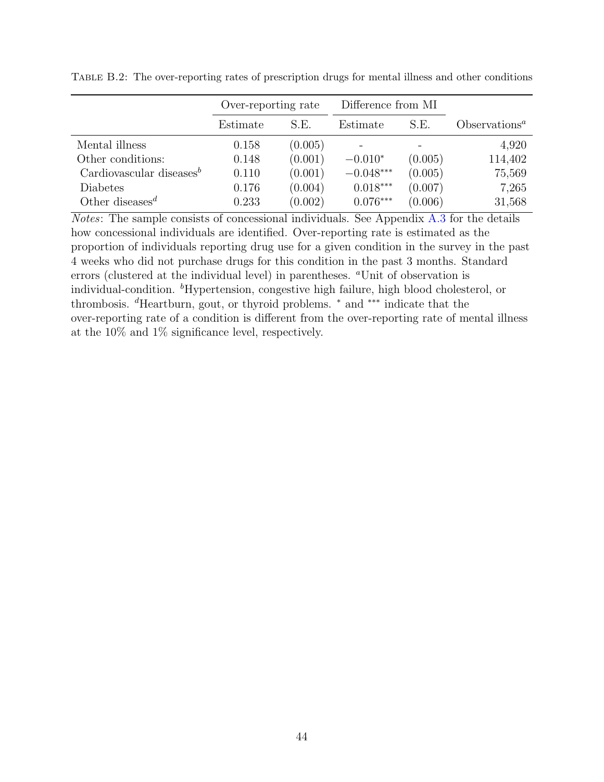|                                          | Over-reporting rate |         | Difference from MI |         |                  |
|------------------------------------------|---------------------|---------|--------------------|---------|------------------|
|                                          | Estimate            | S.E.    | Estimate           | S.E.    | $Obest vationsa$ |
| Mental illness                           | 0.158               | (0.005) |                    |         | 4,920            |
| Other conditions:                        | 0.148               | (0.001) | $-0.010*$          | (0.005) | 114,402          |
| Cardiovascular diseases $\mathbf{B}$     | 0.110               | (0.001) | $-0.048***$        | (0.005) | 75,569           |
| Diabetes                                 | 0.176               | (0.004) | $0.018***$         | (0.007) | 7,265            |
| Other diseases <sup><math>d</math></sup> | 0.233               | (0.002) | $0.076***$         | (0.006) | 31,568           |

Table B.2: The over-reporting rates of prescription drugs for mental illness and other conditions

Notes: The sample consists of concessional individuals. See Appendix [A.3](#page-40-0) for the details how concessional individuals are identified. Over-reporting rate is estimated as the proportion of individuals reporting drug use for a given condition in the survey in the past 4 weeks who did not purchase drugs for this condition in the past 3 months. Standard errors (clustered at the individual level) in parentheses. <sup>a</sup>Unit of observation is individual-condition. <sup>b</sup>Hypertension, congestive high failure, high blood cholesterol, or thrombosis. <sup>d</sup>Heartburn, gout, or thyroid problems. <sup>∗</sup> and ∗∗∗ indicate that the over-reporting rate of a condition is different from the over-reporting rate of mental illness at the 10% and 1% significance level, respectively.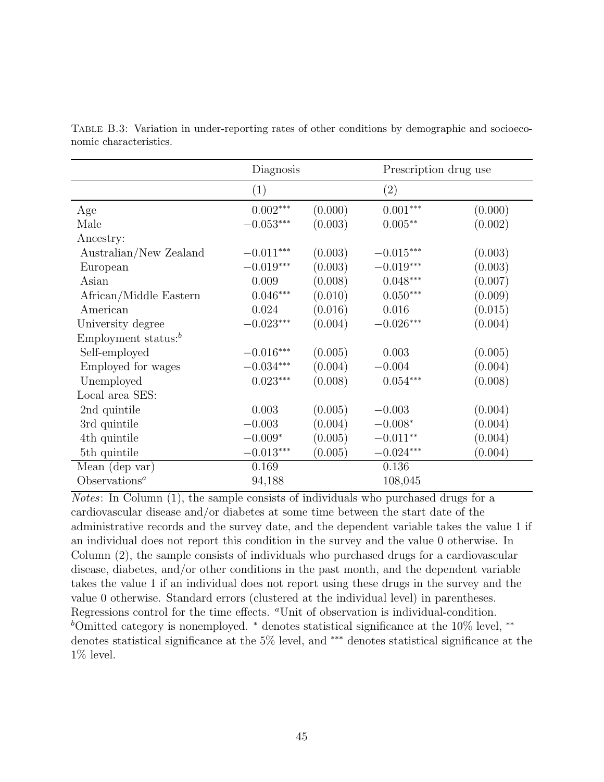|                                  | Diagnosis        |         |                  | Prescription drug use |  |
|----------------------------------|------------------|---------|------------------|-----------------------|--|
|                                  | (1)              |         | (2)              |                       |  |
| Age                              | $0.002***$       | (0.000) | $0.001***$       | (0.000)               |  |
| Male                             | $-0.053***$      | (0.003) | $0.005**$        | (0.002)               |  |
| Ancestry:                        |                  |         |                  |                       |  |
| Australian/New Zealand           | $-0.011***$      | (0.003) | $-0.015^{***}\,$ | (0.003)               |  |
| European                         | $-0.019***$      | (0.003) | $-0.019***$      | (0.003)               |  |
| Asian                            | 0.009            | (0.008) | $0.048***$       | (0.007)               |  |
| African/Middle Eastern           | $0.046***$       | (0.010) | $0.050***$       | (0.009)               |  |
| American                         | 0.024            | (0.016) | 0.016            | (0.015)               |  |
| University degree                | $-0.023***$      | (0.004) | $-0.026***$      | (0.004)               |  |
| Employment status: $\frac{b}{b}$ |                  |         |                  |                       |  |
| Self-employed                    | $-0.016^{***}\,$ | (0.005) | 0.003            | (0.005)               |  |
| Employed for wages               | $-0.034***$      | (0.004) | $-0.004$         | (0.004)               |  |
| Unemployed                       | $0.023***$       | (0.008) | $0.054***$       | (0.008)               |  |
| Local area SES:                  |                  |         |                  |                       |  |
| 2nd quintile                     | 0.003            | (0.005) | $-0.003$         | (0.004)               |  |
| 3rd quintile                     | $-0.003$         | (0.004) | $-0.008*$        | (0.004)               |  |
| 4th quintile                     | $-0.009*$        | (0.005) | $-0.011**$       | (0.004)               |  |
| 5th quintile                     | $-0.013***$      | (0.005) | $-0.024***$      | (0.004)               |  |
| Mean (dep var)                   | 0.169            |         | 0.136            |                       |  |
| Observations <sup>a</sup>        | 94,188           |         | 108,045          |                       |  |

Table B.3: Variation in under-reporting rates of other conditions by demographic and socioeconomic characteristics.

Notes: In Column (1), the sample consists of individuals who purchased drugs for a cardiovascular disease and/or diabetes at some time between the start date of the administrative records and the survey date, and the dependent variable takes the value 1 if an individual does not report this condition in the survey and the value 0 otherwise. In Column (2), the sample consists of individuals who purchased drugs for a cardiovascular disease, diabetes, and/or other conditions in the past month, and the dependent variable takes the value 1 if an individual does not report using these drugs in the survey and the value 0 otherwise. Standard errors (clustered at the individual level) in parentheses. Regressions control for the time effects. "Unit of observation is individual-condition. <sup>b</sup>Omitted category is nonemployed. <sup>\*</sup> denotes statistical significance at the 10% level, <sup>\*\*</sup> denotes statistical significance at the 5% level, and ∗∗∗ denotes statistical significance at the 1% level.